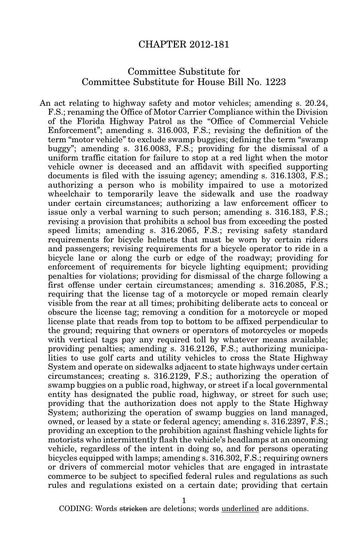## CHAPTER 2012-181

## Committee Substitute for Committee Substitute for House Bill No. 1223

An act relating to highway safety and motor vehicles; amending s. 20.24, F.S.; renaming the Office of Motor Carrier Compliance within the Division of the Florida Highway Patrol as the "Office of Commercial Vehicle Enforcement"; amending s. 316.003, F.S.; revising the definition of the term "motor vehicle" to exclude swamp buggies; defining the term "swamp buggy"; amending s. 316.0083, F.S.; providing for the dismissal of a uniform traffic citation for failure to stop at a red light when the motor vehicle owner is deceased and an affidavit with specified supporting documents is filed with the issuing agency; amending s. 316.1303, F.S.; authorizing a person who is mobility impaired to use a motorized wheelchair to temporarily leave the sidewalk and use the roadway under certain circumstances; authorizing a law enforcement officer to issue only a verbal warning to such person; amending s. 316.183, F.S.; revising a provision that prohibits a school bus from exceeding the posted speed limits; amending s. 316.2065, F.S.; revising safety standard requirements for bicycle helmets that must be worn by certain riders and passengers; revising requirements for a bicycle operator to ride in a bicycle lane or along the curb or edge of the roadway; providing for enforcement of requirements for bicycle lighting equipment; providing penalties for violations; providing for dismissal of the charge following a first offense under certain circumstances; amending s. 316.2085, F.S.; requiring that the license tag of a motorcycle or moped remain clearly visible from the rear at all times; prohibiting deliberate acts to conceal or obscure the license tag; removing a condition for a motorcycle or moped license plate that reads from top to bottom to be affixed perpendicular to the ground; requiring that owners or operators of motorcycles or mopeds with vertical tags pay any required toll by whatever means available; providing penalties; amending s. 316.2126, F.S.; authorizing municipalities to use golf carts and utility vehicles to cross the State Highway System and operate on sidewalks adjacent to state highways under certain circumstances; creating s. 316.2129, F.S.; authorizing the operation of swamp buggies on a public road, highway, or street if a local governmental entity has designated the public road, highway, or street for such use; providing that the authorization does not apply to the State Highway System; authorizing the operation of swamp buggies on land managed, owned, or leased by a state or federal agency; amending s. 316.2397, F.S.; providing an exception to the prohibition against flashing vehicle lights for motorists who intermittently flash the vehicle's headlamps at an oncoming vehicle, regardless of the intent in doing so, and for persons operating bicycles equipped with lamps; amending s. 316.302, F.S.; requiring owners or drivers of commercial motor vehicles that are engaged in intrastate commerce to be subject to specified federal rules and regulations as such rules and regulations existed on a certain date; providing that certain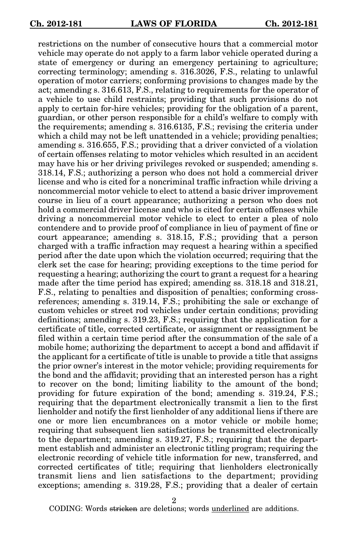restrictions on the number of consecutive hours that a commercial motor vehicle may operate do not apply to a farm labor vehicle operated during a state of emergency or during an emergency pertaining to agriculture; correcting terminology; amending s. 316.3026, F.S., relating to unlawful operation of motor carriers; conforming provisions to changes made by the act; amending s. 316.613, F.S., relating to requirements for the operator of a vehicle to use child restraints; providing that such provisions do not apply to certain for-hire vehicles; providing for the obligation of a parent, guardian, or other person responsible for a child's welfare to comply with the requirements; amending s. 316.6135, F.S.; revising the criteria under which a child may not be left unattended in a vehicle; providing penalties; amending s. 316.655, F.S.; providing that a driver convicted of a violation of certain offenses relating to motor vehicles which resulted in an accident may have his or her driving privileges revoked or suspended; amending s. 318.14, F.S.; authorizing a person who does not hold a commercial driver license and who is cited for a noncriminal traffic infraction while driving a noncommercial motor vehicle to elect to attend a basic driver improvement course in lieu of a court appearance; authorizing a person who does not hold a commercial driver license and who is cited for certain offenses while driving a noncommercial motor vehicle to elect to enter a plea of nolo contendere and to provide proof of compliance in lieu of payment of fine or court appearance; amending s. 318.15, F.S.; providing that a person charged with a traffic infraction may request a hearing within a specified period after the date upon which the violation occurred; requiring that the clerk set the case for hearing; providing exceptions to the time period for requesting a hearing; authorizing the court to grant a request for a hearing made after the time period has expired; amending ss. 318.18 and 318.21, F.S., relating to penalties and disposition of penalties; conforming crossreferences; amending s. 319.14, F.S.; prohibiting the sale or exchange of custom vehicles or street rod vehicles under certain conditions; providing definitions; amending s. 319.23, F.S.; requiring that the application for a certificate of title, corrected certificate, or assignment or reassignment be filed within a certain time period after the consummation of the sale of a mobile home; authorizing the department to accept a bond and affidavit if the applicant for a certificate of title is unable to provide a title that assigns the prior owner's interest in the motor vehicle; providing requirements for the bond and the affidavit; providing that an interested person has a right to recover on the bond; limiting liability to the amount of the bond; providing for future expiration of the bond; amending s. 319.24, F.S.; requiring that the department electronically transmit a lien to the first lienholder and notify the first lienholder of any additional liens if there are one or more lien encumbrances on a motor vehicle or mobile home; requiring that subsequent lien satisfactions be transmitted electronically to the department; amending s. 319.27, F.S.; requiring that the department establish and administer an electronic titling program; requiring the electronic recording of vehicle title information for new, transferred, and corrected certificates of title; requiring that lienholders electronically transmit liens and lien satisfactions to the department; providing exceptions; amending s. 319.28, F.S.; providing that a dealer of certain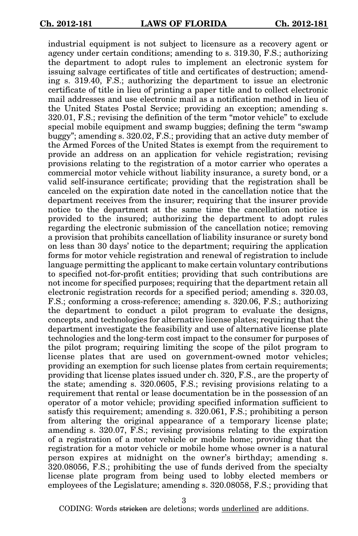industrial equipment is not subject to licensure as a recovery agent or agency under certain conditions; amending to s. 319.30, F.S.; authorizing the department to adopt rules to implement an electronic system for issuing salvage certificates of title and certificates of destruction; amending s. 319.40, F.S.; authorizing the department to issue an electronic certificate of title in lieu of printing a paper title and to collect electronic mail addresses and use electronic mail as a notification method in lieu of the United States Postal Service; providing an exception; amending s. 320.01, F.S.; revising the definition of the term "motor vehicle" to exclude special mobile equipment and swamp buggies; defining the term "swamp buggy"; amending s. 320.02, F.S.; providing that an active duty member of the Armed Forces of the United States is exempt from the requirement to provide an address on an application for vehicle registration; revising provisions relating to the registration of a motor carrier who operates a commercial motor vehicle without liability insurance, a surety bond, or a valid self-insurance certificate; providing that the registration shall be canceled on the expiration date noted in the cancellation notice that the department receives from the insurer; requiring that the insurer provide notice to the department at the same time the cancellation notice is provided to the insured; authorizing the department to adopt rules regarding the electronic submission of the cancellation notice; removing a provision that prohibits cancellation of liability insurance or surety bond on less than 30 days' notice to the department; requiring the application forms for motor vehicle registration and renewal of registration to include language permitting the applicant to make certain voluntary contributions to specified not-for-profit entities; providing that such contributions are not income for specified purposes; requiring that the department retain all electronic registration records for a specified period; amending s. 320.03, F.S.; conforming a cross-reference; amending s. 320.06, F.S.; authorizing the department to conduct a pilot program to evaluate the designs, concepts, and technologies for alternative license plates; requiring that the department investigate the feasibility and use of alternative license plate technologies and the long-term cost impact to the consumer for purposes of the pilot program; requiring limiting the scope of the pilot program to license plates that are used on government-owned motor vehicles; providing an exemption for such license plates from certain requirements; providing that license plates issued under ch. 320, F.S., are the property of the state; amending s. 320.0605, F.S.; revising provisions relating to a requirement that rental or lease documentation be in the possession of an operator of a motor vehicle; providing specified information sufficient to satisfy this requirement; amending s. 320.061, F.S.; prohibiting a person from altering the original appearance of a temporary license plate; amending s. 320.07, F.S.; revising provisions relating to the expiration of a registration of a motor vehicle or mobile home; providing that the registration for a motor vehicle or mobile home whose owner is a natural person expires at midnight on the owner's birthday; amending s. 320.08056, F.S.; prohibiting the use of funds derived from the specialty license plate program from being used to lobby elected members or employees of the Legislature; amending s. 320.08058, F.S.; providing that

3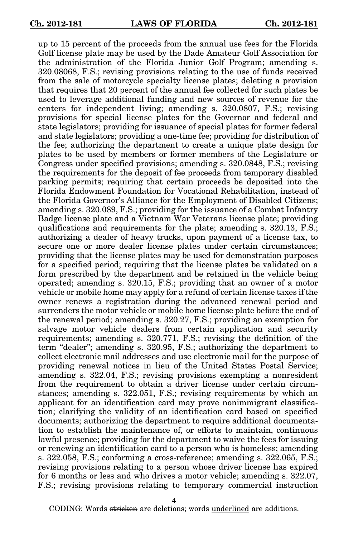up to 15 percent of the proceeds from the annual use fees for the Florida Golf license plate may be used by the Dade Amateur Golf Association for the administration of the Florida Junior Golf Program; amending s. 320.08068, F.S.; revising provisions relating to the use of funds received from the sale of motorcycle specialty license plates; deleting a provision that requires that 20 percent of the annual fee collected for such plates be used to leverage additional funding and new sources of revenue for the centers for independent living; amending s. 320.0807, F.S.; revising provisions for special license plates for the Governor and federal and state legislators; providing for issuance of special plates for former federal and state legislators; providing a one-time fee; providing for distribution of the fee; authorizing the department to create a unique plate design for plates to be used by members or former members of the Legislature or Congress under specified provisions; amending s. 320.0848, F.S.; revising the requirements for the deposit of fee proceeds from temporary disabled parking permits; requiring that certain proceeds be deposited into the Florida Endowment Foundation for Vocational Rehabilitation, instead of the Florida Governor's Alliance for the Employment of Disabled Citizens; amending s. 320.089, F.S.; providing for the issuance of a Combat Infantry Badge license plate and a Vietnam War Veterans license plate; providing qualifications and requirements for the plate; amending s. 320.13, F.S.; authorizing a dealer of heavy trucks, upon payment of a license tax, to secure one or more dealer license plates under certain circumstances; providing that the license plates may be used for demonstration purposes for a specified period; requiring that the license plates be validated on a form prescribed by the department and be retained in the vehicle being operated; amending s. 320.15, F.S.; providing that an owner of a motor vehicle or mobile home may apply for a refund of certain license taxes if the owner renews a registration during the advanced renewal period and surrenders the motor vehicle or mobile home license plate before the end of the renewal period; amending s. 320.27, F.S.; providing an exemption for salvage motor vehicle dealers from certain application and security requirements; amending s. 320.771, F.S.; revising the definition of the term "dealer"; amending s. 320.95, F.S.; authorizing the department to collect electronic mail addresses and use electronic mail for the purpose of providing renewal notices in lieu of the United States Postal Service; amending s. 322.04, F.S.; revising provisions exempting a nonresident from the requirement to obtain a driver license under certain circumstances; amending s. 322.051, F.S.; revising requirements by which an applicant for an identification card may prove nonimmigrant classification; clarifying the validity of an identification card based on specified documents; authorizing the department to require additional documentation to establish the maintenance of, or efforts to maintain, continuous lawful presence; providing for the department to waive the fees for issuing or renewing an identification card to a person who is homeless; amending s. 322.058, F.S.; conforming a cross-reference; amending s. 322.065, F.S.; revising provisions relating to a person whose driver license has expired for 6 months or less and who drives a motor vehicle; amending s. 322.07, F.S.; revising provisions relating to temporary commercial instruction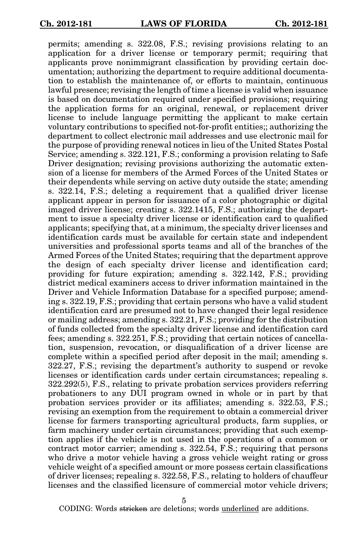permits; amending s. 322.08, F.S.; revising provisions relating to an application for a driver license or temporary permit; requiring that applicants prove nonimmigrant classification by providing certain documentation; authorizing the department to require additional documentation to establish the maintenance of, or efforts to maintain, continuous lawful presence; revising the length of time a license is valid when issuance is based on documentation required under specified provisions; requiring the application forms for an original, renewal, or replacement driver license to include language permitting the applicant to make certain voluntary contributions to specified not-for-profit entities;; authorizing the department to collect electronic mail addresses and use electronic mail for the purpose of providing renewal notices in lieu of the United States Postal Service; amending s. 322.121, F.S.; conforming a provision relating to Safe Driver designation; revising provisions authorizing the automatic extension of a license for members of the Armed Forces of the United States or their dependents while serving on active duty outside the state; amending s. 322.14, F.S.; deleting a requirement that a qualified driver license applicant appear in person for issuance of a color photographic or digital imaged driver license; creating s. 322.1415, F.S.; authorizing the department to issue a specialty driver license or identification card to qualified applicants; specifying that, at a minimum, the specialty driver licenses and identification cards must be available for certain state and independent universities and professional sports teams and all of the branches of the Armed Forces of the United States; requiring that the department approve the design of each specialty driver license and identification card; providing for future expiration; amending s. 322.142, F.S.; providing district medical examiners access to driver information maintained in the Driver and Vehicle Information Database for a specified purpose; amending s. 322.19, F.S.; providing that certain persons who have a valid student identification card are presumed not to have changed their legal residence or mailing address; amending s. 322.21, F.S.; providing for the distribution of funds collected from the specialty driver license and identification card fees; amending s. 322.251, F.S.; providing that certain notices of cancellation, suspension, revocation, or disqualification of a driver license are complete within a specified period after deposit in the mail; amending s. 322.27, F.S.; revising the department's authority to suspend or revoke licenses or identification cards under certain circumstances; repealing s. 322.292(5), F.S., relating to private probation services providers referring probationers to any DUI program owned in whole or in part by that probation services provider or its affiliates; amending s. 322.53, F.S.; revising an exemption from the requirement to obtain a commercial driver license for farmers transporting agricultural products, farm supplies, or farm machinery under certain circumstances; providing that such exemption applies if the vehicle is not used in the operations of a common or contract motor carrier; amending s. 322.54, F.S.; requiring that persons who drive a motor vehicle having a gross vehicle weight rating or gross vehicle weight of a specified amount or more possess certain classifications of driver licenses; repealing s. 322.58, F.S., relating to holders of chauffeur licenses and the classified licensure of commercial motor vehicle drivers;

5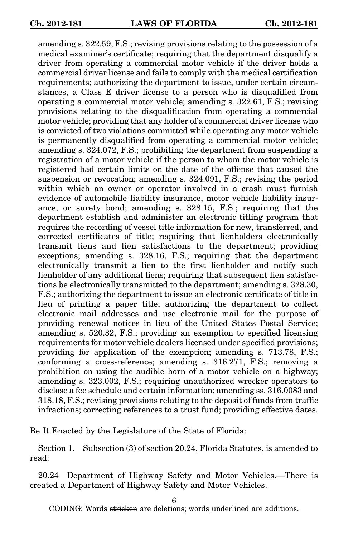amending s. 322.59, F.S.; revising provisions relating to the possession of a medical examiner's certificate; requiring that the department disqualify a driver from operating a commercial motor vehicle if the driver holds a commercial driver license and fails to comply with the medical certification requirements; authorizing the department to issue, under certain circumstances, a Class E driver license to a person who is disqualified from operating a commercial motor vehicle; amending s. 322.61, F.S.; revising provisions relating to the disqualification from operating a commercial motor vehicle; providing that any holder of a commercial driver license who is convicted of two violations committed while operating any motor vehicle is permanently disqualified from operating a commercial motor vehicle; amending s. 324.072, F.S.; prohibiting the department from suspending a registration of a motor vehicle if the person to whom the motor vehicle is registered had certain limits on the date of the offense that caused the suspension or revocation; amending s. 324.091, F.S.; revising the period within which an owner or operator involved in a crash must furnish evidence of automobile liability insurance, motor vehicle liability insurance, or surety bond; amending s. 328.15, F.S.; requiring that the department establish and administer an electronic titling program that requires the recording of vessel title information for new, transferred, and corrected certificates of title; requiring that lienholders electronically transmit liens and lien satisfactions to the department; providing exceptions; amending s. 328.16, F.S.; requiring that the department electronically transmit a lien to the first lienholder and notify such lienholder of any additional liens; requiring that subsequent lien satisfactions be electronically transmitted to the department; amending s. 328.30, F.S.; authorizing the department to issue an electronic certificate of title in lieu of printing a paper title; authorizing the department to collect electronic mail addresses and use electronic mail for the purpose of providing renewal notices in lieu of the United States Postal Service; amending s. 520.32, F.S.; providing an exemption to specified licensing requirements for motor vehicle dealers licensed under specified provisions; providing for application of the exemption; amending s. 713.78, F.S.; conforming a cross-reference; amending s. 316.271, F.S.; removing a prohibition on using the audible horn of a motor vehicle on a highway; amending s. 323.002, F.S.; requiring unauthorized wrecker operators to disclose a fee schedule and certain information; amending ss. 316.0083 and 318.18, F.S.; revising provisions relating to the deposit of funds from traffic infractions; correcting references to a trust fund; providing effective dates.

Be It Enacted by the Legislature of the State of Florida:

Section 1. Subsection (3) of section 20.24, Florida Statutes, is amended to read:

20.24 Department of Highway Safety and Motor Vehicles.—There is created a Department of Highway Safety and Motor Vehicles.

6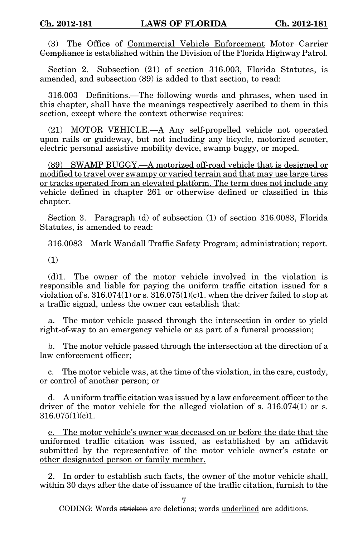(3) The Office of Commercial Vehicle Enforcement Motor Carrier Compliance is established within the Division of the Florida Highway Patrol.

Section 2. Subsection (21) of section 316.003, Florida Statutes, is amended, and subsection (89) is added to that section, to read:

316.003 Definitions.—The following words and phrases, when used in this chapter, shall have the meanings respectively ascribed to them in this section, except where the context otherwise requires:

(21) MOTOR VEHICLE.—A Any self-propelled vehicle not operated upon rails or guideway, but not including any bicycle, motorized scooter, electric personal assistive mobility device, swamp buggy, or moped.

(89) SWAMP BUGGY.—A motorized off-road vehicle that is designed or modified to travel over swampy or varied terrain and that may use large tires or tracks operated from an elevated platform. The term does not include any vehicle defined in chapter 261 or otherwise defined or classified in this chapter.

Section 3. Paragraph (d) of subsection (1) of section 316.0083, Florida Statutes, is amended to read:

316.0083 Mark Wandall Traffic Safety Program; administration; report.

(1)

(d)1. The owner of the motor vehicle involved in the violation is responsible and liable for paying the uniform traffic citation issued for a violation of s.  $316.074(1)$  or s.  $316.075(1)(c)$ . when the driver failed to stop at a traffic signal, unless the owner can establish that:

a. The motor vehicle passed through the intersection in order to yield right-of-way to an emergency vehicle or as part of a funeral procession;

b. The motor vehicle passed through the intersection at the direction of a law enforcement officer;

c. The motor vehicle was, at the time of the violation, in the care, custody, or control of another person; or

d. A uniform traffic citation was issued by a law enforcement officer to the driver of the motor vehicle for the alleged violation of s. 316.074(1) or s. 316.075(1)(c)1.

e. The motor vehicle's owner was deceased on or before the date that the uniformed traffic citation was issued, as established by an affidavit submitted by the representative of the motor vehicle owner's estate or other designated person or family member.

2. In order to establish such facts, the owner of the motor vehicle shall, within 30 days after the date of issuance of the traffic citation, furnish to the

7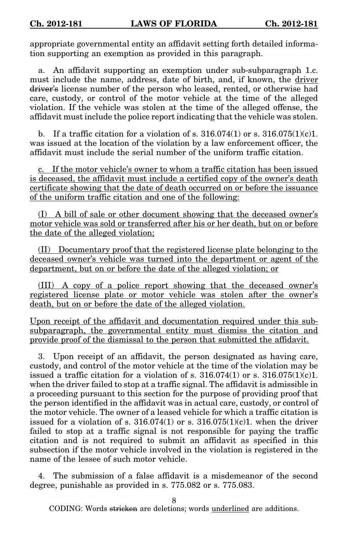appropriate governmental entity an affidavit setting forth detailed information supporting an exemption as provided in this paragraph.

a. An affidavit supporting an exemption under sub-subparagraph 1.c. must include the name, address, date of birth, and, if known, the driver driver's license number of the person who leased, rented, or otherwise had care, custody, or control of the motor vehicle at the time of the alleged violation. If the vehicle was stolen at the time of the alleged offense, the affidavit must include the police report indicating that the vehicle was stolen.

b. If a traffic citation for a violation of s.  $316.074(1)$  or s.  $316.075(1)(c)1$ . was issued at the location of the violation by a law enforcement officer, the affidavit must include the serial number of the uniform traffic citation.

c. If the motor vehicle's owner to whom a traffic citation has been issued is deceased, the affidavit must include a certified copy of the owner's death certificate showing that the date of death occurred on or before the issuance of the uniform traffic citation and one of the following:

(I) A bill of sale or other document showing that the deceased owner's motor vehicle was sold or transferred after his or her death, but on or before the date of the alleged violation;

(II) Documentary proof that the registered license plate belonging to the deceased owner's vehicle was turned into the department or agent of the department, but on or before the date of the alleged violation; or

(III) A copy of a police report showing that the deceased owner's registered license plate or motor vehicle was stolen after the owner's death, but on or before the date of the alleged violation.

Upon receipt of the affidavit and documentation required under this subsubparagraph, the governmental entity must dismiss the citation and provide proof of the dismissal to the person that submitted the affidavit.

3. Upon receipt of an affidavit, the person designated as having care, custody, and control of the motor vehicle at the time of the violation may be issued a traffic citation for a violation of s.  $316.074(1)$  or s.  $316.075(1)(c)1$ . when the driver failed to stop at a traffic signal. The affidavit is admissible in a proceeding pursuant to this section for the purpose of providing proof that the person identified in the affidavit was in actual care, custody, or control of the motor vehicle. The owner of a leased vehicle for which a traffic citation is issued for a violation of s.  $316.074(1)$  or s.  $316.075(1)(c)1$ , when the driver failed to stop at a traffic signal is not responsible for paying the traffic citation and is not required to submit an affidavit as specified in this subsection if the motor vehicle involved in the violation is registered in the name of the lessee of such motor vehicle.

4. The submission of a false affidavit is a misdemeanor of the second degree, punishable as provided in s. 775.082 or s. 775.083.

8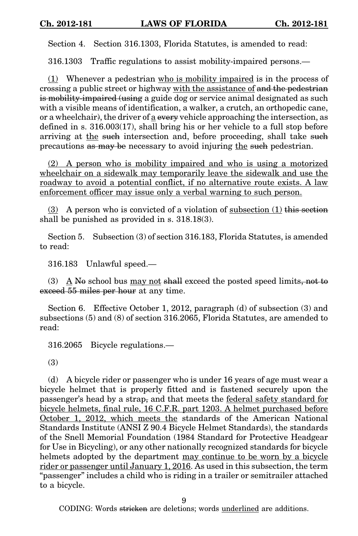Section 4. Section 316.1303, Florida Statutes, is amended to read:

316.1303 Traffic regulations to assist mobility-impaired persons.—

(1) Whenever a pedestrian who is mobility impaired is in the process of crossing a public street or highway with the assistance of and the pedestrian is mobility-impaired (using a guide dog or service animal designated as such with a visible means of identification, a walker, a crutch, an orthopedic cane, or a wheelchair), the driver of  $\underline{a}$  every vehicle approaching the intersection, as defined in s. 316.003(17), shall bring his or her vehicle to a full stop before arriving at the such intersection and, before proceeding, shall take such precautions as may be necessary to avoid injuring the such pedestrian.

(2) A person who is mobility impaired and who is using a motorized wheelchair on a sidewalk may temporarily leave the sidewalk and use the roadway to avoid a potential conflict, if no alternative route exists. A law enforcement officer may issue only a verbal warning to such person.

(3) A person who is convicted of a violation of subsection  $(1)$  this section shall be punished as provided in s. 318.18(3).

Section 5. Subsection (3) of section 316.183, Florida Statutes, is amended to read:

316.183 Unlawful speed.—

(3)  $\Delta$  No school bus may not shall exceed the posted speed limits, not to exceed 55 miles per hour at any time.

Section 6. Effective October 1, 2012, paragraph (d) of subsection (3) and subsections (5) and (8) of section 316.2065, Florida Statutes, are amended to read:

316.2065 Bicycle regulations.—

(3)

(d) A bicycle rider or passenger who is under 16 years of age must wear a bicycle helmet that is properly fitted and is fastened securely upon the passenger's head by a strap, and that meets the federal safety standard for bicycle helmets, final rule, 16 C.F.R. part 1203. A helmet purchased before October 1, 2012, which meets the standards of the American National Standards Institute (ANSI Z 90.4 Bicycle Helmet Standards), the standards of the Snell Memorial Foundation (1984 Standard for Protective Headgear for Use in Bicycling), or any other nationally recognized standards for bicycle helmets adopted by the department may continue to be worn by a bicycle rider or passenger until January 1, 2016. As used in this subsection, the term "passenger" includes a child who is riding in a trailer or semitrailer attached to a bicycle.

 $\mathbf Q$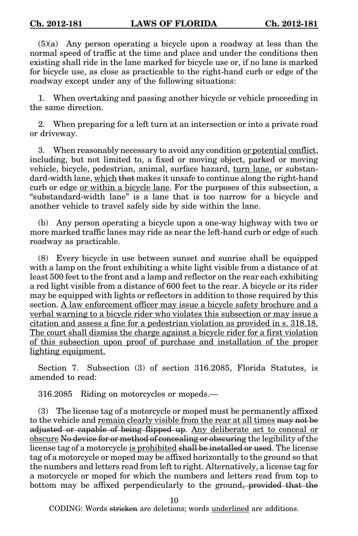(5)(a) Any person operating a bicycle upon a roadway at less than the normal speed of traffic at the time and place and under the conditions then existing shall ride in the lane marked for bicycle use or, if no lane is marked for bicycle use, as close as practicable to the right-hand curb or edge of the roadway except under any of the following situations:

1. When overtaking and passing another bicycle or vehicle proceeding in the same direction.

2. When preparing for a left turn at an intersection or into a private road or driveway.

3. When reasonably necessary to avoid any condition or potential conflict, including, but not limited to, a fixed or moving object, parked or moving vehicle, bicycle, pedestrian, animal, surface hazard, turn lane, or substandard-width lane, which that makes it unsafe to continue along the right-hand curb or edge <u>or within a bicycle lane</u>. For the purposes of this subsection, a "substandard-width lane" is a lane that is too narrow for a bicycle and another vehicle to travel safely side by side within the lane.

(b) Any person operating a bicycle upon a one-way highway with two or more marked traffic lanes may ride as near the left-hand curb or edge of such roadway as practicable.

(8) Every bicycle in use between sunset and sunrise shall be equipped with a lamp on the front exhibiting a white light visible from a distance of at least 500 feet to the front and a lamp and reflector on the rear each exhibiting a red light visible from a distance of 600 feet to the rear. A bicycle or its rider may be equipped with lights or reflectors in addition to those required by this section. A law enforcement officer may issue a bicycle safety brochure and a verbal warning to a bicycle rider who violates this subsection or may issue a citation and assess a fine for a pedestrian violation as provided in s. 318.18. The court shall dismiss the charge against a bicycle rider for a first violation of this subsection upon proof of purchase and installation of the proper lighting equipment.

Section 7. Subsection (3) of section 316.2085, Florida Statutes, is amended to read:

316.2085 Riding on motorcycles or mopeds.—

(3) The license tag of a motorcycle or moped must be permanently affixed to the vehicle and remain clearly visible from the rear at all times may not be adjusted or capable of being flipped up. Any deliberate act to conceal or obscure No device for or method of concealing or obscuring the legibility of the license tag of a motorcycle is prohibited shall be installed or used. The license tag of a motorcycle or moped may be affixed horizontally to the ground so that the numbers and letters read from left to right. Alternatively, a license tag for a motorcycle or moped for which the numbers and letters read from top to bottom may be affixed perpendicularly to the ground, provided that the

10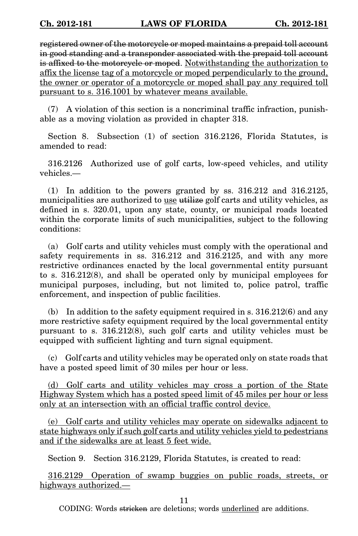registered owner of the motorcycle or moped maintains a prepaid toll account in good standing and a transponder associated with the prepaid toll account is affixed to the motorcycle or moped. Notwithstanding the authorization to affix the license tag of a motorcycle or moped perpendicularly to the ground, the owner or operator of a motorcycle or moped shall pay any required toll pursuant to s. 316.1001 by whatever means available.

(7) A violation of this section is a noncriminal traffic infraction, punishable as a moving violation as provided in chapter 318.

Section 8. Subsection (1) of section 316.2126, Florida Statutes, is amended to read:

316.2126 Authorized use of golf carts, low-speed vehicles, and utility vehicles.—

(1) In addition to the powers granted by ss. 316.212 and 316.2125, municipalities are authorized to use utilize golf carts and utility vehicles, as defined in s. 320.01, upon any state, county, or municipal roads located within the corporate limits of such municipalities, subject to the following conditions:

(a) Golf carts and utility vehicles must comply with the operational and safety requirements in ss. 316.212 and 316.2125, and with any more restrictive ordinances enacted by the local governmental entity pursuant to s. 316.212(8), and shall be operated only by municipal employees for municipal purposes, including, but not limited to, police patrol, traffic enforcement, and inspection of public facilities.

(b) In addition to the safety equipment required in s. 316.212(6) and any more restrictive safety equipment required by the local governmental entity pursuant to s. 316.212(8), such golf carts and utility vehicles must be equipped with sufficient lighting and turn signal equipment.

(c) Golf carts and utility vehicles may be operated only on state roads that have a posted speed limit of 30 miles per hour or less.

(d) Golf carts and utility vehicles may cross a portion of the State Highway System which has a posted speed limit of 45 miles per hour or less only at an intersection with an official traffic control device.

(e) Golf carts and utility vehicles may operate on sidewalks adjacent to state highways only if such golf carts and utility vehicles yield to pedestrians and if the sidewalks are at least 5 feet wide.

Section 9. Section 316.2129, Florida Statutes, is created to read:

316.2129 Operation of swamp buggies on public roads, streets, or highways authorized.—

11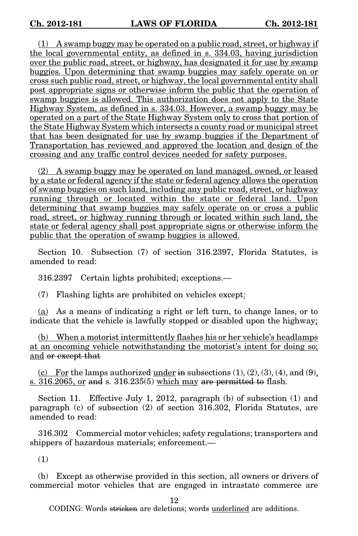(1) A swamp buggy may be operated on a public road, street, or highway if the local governmental entity, as defined in s. 334.03, having jurisdiction over the public road, street, or highway, has designated it for use by swamp buggies. Upon determining that swamp buggies may safely operate on or cross such public road, street, or highway, the local governmental entity shall post appropriate signs or otherwise inform the public that the operation of swamp buggies is allowed. This authorization does not apply to the State Highway System, as defined in s. 334.03. However, a swamp buggy may be operated on a part of the State Highway System only to cross that portion of the State Highway System which intersects a county road or municipal street that has been designated for use by swamp buggies if the Department of Transportation has reviewed and approved the location and design of the crossing and any traffic control devices needed for safety purposes.

(2) A swamp buggy may be operated on land managed, owned, or leased by a state or federal agency if the state or federal agency allows the operation of swamp buggies on such land, including any public road, street, or highway running through or located within the state or federal land. Upon determining that swamp buggies may safely operate on or cross a public road, street, or highway running through or located within such land, the state or federal agency shall post appropriate signs or otherwise inform the public that the operation of swamp buggies is allowed.

Section 10. Subsection (7) of section 316.2397, Florida Statutes, is amended to read:

316.2397 Certain lights prohibited; exceptions.—

(7) Flashing lights are prohibited on vehicles except:

(a) As a means of indicating a right or left turn, to change lanes, or to indicate that the vehicle is lawfully stopped or disabled upon the highway;

(b) When a motorist intermittently flashes his or her vehicle's headlamps at an oncoming vehicle notwithstanding the motorist's intent for doing so; and or except that

(c) For the lamps authorized under in subsections  $(1), (2), (3), (4),$  and  $(9),$  $s. 316.2065$ , or and s. 316.235(5) which may are permitted to flash.

Section 11. Effective July 1, 2012, paragraph (b) of subsection (1) and paragraph (c) of subsection (2) of section 316.302, Florida Statutes, are amended to read:

316.302 Commercial motor vehicles; safety regulations; transporters and shippers of hazardous materials; enforcement.—

(1)

(b) Except as otherwise provided in this section, all owners or drivers of commercial motor vehicles that are engaged in intrastate commerce are

12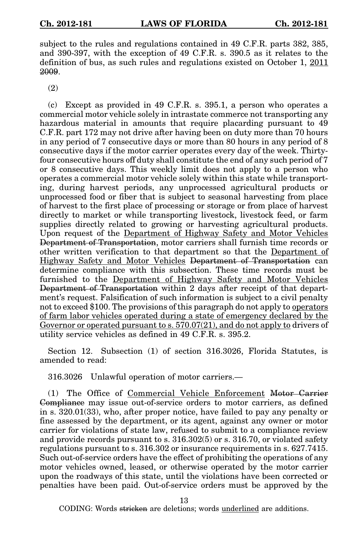subject to the rules and regulations contained in 49 C.F.R. parts 382, 385, and 390-397, with the exception of 49 C.F.R. s. 390.5 as it relates to the definition of bus, as such rules and regulations existed on October 1, 2011 2009.

(2)

(c) Except as provided in 49 C.F.R. s. 395.1, a person who operates a commercial motor vehicle solely in intrastate commerce not transporting any hazardous material in amounts that require placarding pursuant to 49 C.F.R. part 172 may not drive after having been on duty more than 70 hours in any period of 7 consecutive days or more than 80 hours in any period of 8 consecutive days if the motor carrier operates every day of the week. Thirtyfour consecutive hours off duty shall constitute the end of any such period of 7 or 8 consecutive days. This weekly limit does not apply to a person who operates a commercial motor vehicle solely within this state while transporting, during harvest periods, any unprocessed agricultural products or unprocessed food or fiber that is subject to seasonal harvesting from place of harvest to the first place of processing or storage or from place of harvest directly to market or while transporting livestock, livestock feed, or farm supplies directly related to growing or harvesting agricultural products. Upon request of the Department of Highway Safety and Motor Vehicles Department of Transportation, motor carriers shall furnish time records or other written verification to that department so that the Department of Highway Safety and Motor Vehicles Department of Transportation can determine compliance with this subsection. These time records must be furnished to the Department of Highway Safety and Motor Vehicles Department of Transportation within 2 days after receipt of that department's request. Falsification of such information is subject to a civil penalty not to exceed \$100. The provisions of this paragraph do not apply to operators of farm labor vehicles operated during a state of emergency declared by the Governor or operated pursuant to s. 570.07(21), and do not apply to drivers of utility service vehicles as defined in 49 C.F.R. s. 395.2.

Section 12. Subsection (1) of section 316.3026, Florida Statutes, is amended to read:

316.3026 Unlawful operation of motor carriers.—

(1) The Office of Commercial Vehicle Enforcement Motor Carrier Compliance may issue out-of-service orders to motor carriers, as defined in s. 320.01(33), who, after proper notice, have failed to pay any penalty or fine assessed by the department, or its agent, against any owner or motor carrier for violations of state law, refused to submit to a compliance review and provide records pursuant to s. 316.302(5) or s. 316.70, or violated safety regulations pursuant to s. 316.302 or insurance requirements in s. 627.7415. Such out-of-service orders have the effect of prohibiting the operations of any motor vehicles owned, leased, or otherwise operated by the motor carrier upon the roadways of this state, until the violations have been corrected or penalties have been paid. Out-of-service orders must be approved by the

13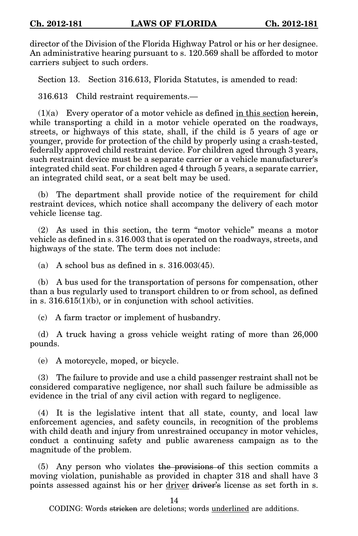director of the Division of the Florida Highway Patrol or his or her designee. An administrative hearing pursuant to s. 120.569 shall be afforded to motor carriers subject to such orders.

Section 13. Section 316.613, Florida Statutes, is amended to read:

316.613 Child restraint requirements.—

 $(1)(a)$  Every operator of a motor vehicle as defined in this section herein, while transporting a child in a motor vehicle operated on the roadways, streets, or highways of this state, shall, if the child is 5 years of age or younger, provide for protection of the child by properly using a crash-tested, federally approved child restraint device. For children aged through 3 years, such restraint device must be a separate carrier or a vehicle manufacturer's integrated child seat. For children aged 4 through 5 years, a separate carrier, an integrated child seat, or a seat belt may be used.

(b) The department shall provide notice of the requirement for child restraint devices, which notice shall accompany the delivery of each motor vehicle license tag.

(2) As used in this section, the term "motor vehicle" means a motor vehicle as defined in s. 316.003 that is operated on the roadways, streets, and highways of the state. The term does not include:

(a) A school bus as defined in s.  $316.003(45)$ .

(b) A bus used for the transportation of persons for compensation, other than a bus regularly used to transport children to or from school, as defined in s. 316.615(1)(b), or in conjunction with school activities.

(c) A farm tractor or implement of husbandry.

(d) A truck having a gross vehicle weight rating of more than 26,000 pounds.

(e) A motorcycle, moped, or bicycle.

(3) The failure to provide and use a child passenger restraint shall not be considered comparative negligence, nor shall such failure be admissible as evidence in the trial of any civil action with regard to negligence.

(4) It is the legislative intent that all state, county, and local law enforcement agencies, and safety councils, in recognition of the problems with child death and injury from unrestrained occupancy in motor vehicles, conduct a continuing safety and public awareness campaign as to the magnitude of the problem.

(5) Any person who violates the provisions of this section commits a moving violation, punishable as provided in chapter 318 and shall have 3 points assessed against his or her driver driver's license as set forth in s.

14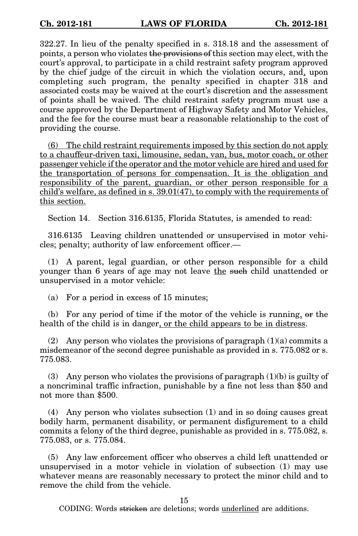322.27. In lieu of the penalty specified in s. 318.18 and the assessment of points, a person who violates the provisions of this section may elect, with the court's approval, to participate in a child restraint safety program approved by the chief judge of the circuit in which the violation occurs, and, upon completing such program, the penalty specified in chapter 318 and associated costs may be waived at the court's discretion and the assessment of points shall be waived. The child restraint safety program must use a course approved by the Department of Highway Safety and Motor Vehicles, and the fee for the course must bear a reasonable relationship to the cost of providing the course.

(6) The child restraint requirements imposed by this section do not apply to a chauffeur-driven taxi, limousine, sedan, van, bus, motor coach, or other passenger vehicle if the operator and the motor vehicle are hired and used for the transportation of persons for compensation. It is the obligation and responsibility of the parent, guardian, or other person responsible for a child's welfare, as defined in s.  $39.01(47)$ , to comply with the requirements of this section.

Section 14. Section 316.6135, Florida Statutes, is amended to read:

316.6135 Leaving children unattended or unsupervised in motor vehicles; penalty; authority of law enforcement officer.—

(1) A parent, legal guardian, or other person responsible for a child younger than 6 years of age may not leave the such child unattended or unsupervised in a motor vehicle:

(a) For a period in excess of 15 minutes;

(b) For any period of time if the motor of the vehicle is running, or the health of the child is in danger, or the child appears to be in distress.

(2) Any person who violates the provisions of paragraph  $(1)(a)$  commits a misdemeanor of the second degree punishable as provided in s. 775.082 or s. 775.083.

(3) Any person who violates the provisions of paragraph  $(1)(b)$  is guilty of a noncriminal traffic infraction, punishable by a fine not less than \$50 and not more than \$500.

(4) Any person who violates subsection (1) and in so doing causes great bodily harm, permanent disability, or permanent disfigurement to a child commits a felony of the third degree, punishable as provided in s. 775.082, s. 775.083, or s. 775.084.

(5) Any law enforcement officer who observes a child left unattended or unsupervised in a motor vehicle in violation of subsection (1) may use whatever means are reasonably necessary to protect the minor child and to remove the child from the vehicle.

15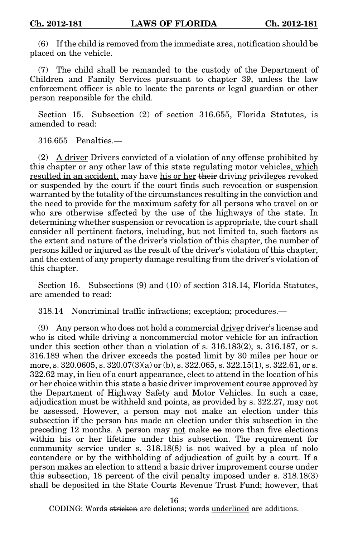(6) If the child is removed from the immediate area, notification should be placed on the vehicle.

(7) The child shall be remanded to the custody of the Department of Children and Family Services pursuant to chapter 39, unless the law enforcement officer is able to locate the parents or legal guardian or other person responsible for the child.

Section 15. Subsection (2) of section 316.655, Florida Statutes, is amended to read:

316.655 Penalties.—

(2) A driver Drivers convicted of a violation of any offense prohibited by this chapter or any other law of this state regulating motor vehicles, which resulted in an accident, may have his or her their driving privileges revoked or suspended by the court if the court finds such revocation or suspension warranted by the totality of the circumstances resulting in the conviction and the need to provide for the maximum safety for all persons who travel on or who are otherwise affected by the use of the highways of the state. In determining whether suspension or revocation is appropriate, the court shall consider all pertinent factors, including, but not limited to, such factors as the extent and nature of the driver's violation of this chapter, the number of persons killed or injured as the result of the driver's violation of this chapter, and the extent of any property damage resulting from the driver's violation of this chapter.

Section 16. Subsections (9) and (10) of section 318.14, Florida Statutes, are amended to read:

318.14 Noncriminal traffic infractions; exception; procedures.—

(9) Any person who does not hold a commercial driver driver's license and who is cited while driving a noncommercial motor vehicle for an infraction under this section other than a violation of s. 316.183(2), s. 316.187, or s. 316.189 when the driver exceeds the posted limit by 30 miles per hour or more, s. 320.0605, s. 320.07 $(3)(a)$  or (b), s. 322.065, s. 322.15 $(1)$ , s. 322.61, or s. 322.62 may, in lieu of a court appearance, elect to attend in the location of his or her choice within this state a basic driver improvement course approved by the Department of Highway Safety and Motor Vehicles. In such a case, adjudication must be withheld and points, as provided by s. 322.27, may not be assessed. However, a person may not make an election under this subsection if the person has made an election under this subsection in the preceding 12 months. A person may not make no more than five elections within his or her lifetime under this subsection. The requirement for community service under s. 318.18(8) is not waived by a plea of nolo contendere or by the withholding of adjudication of guilt by a court. If a person makes an election to attend a basic driver improvement course under this subsection, 18 percent of the civil penalty imposed under s. 318.18(3) shall be deposited in the State Courts Revenue Trust Fund; however, that

16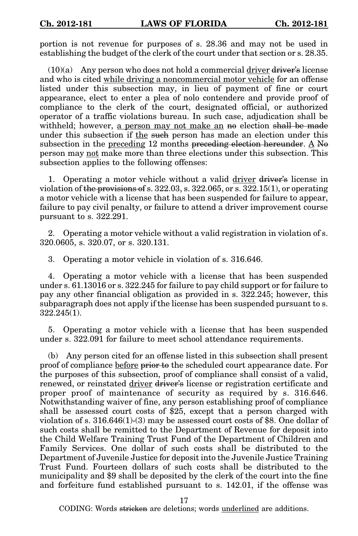portion is not revenue for purposes of s. 28.36 and may not be used in establishing the budget of the clerk of the court under that section or s. 28.35.

 $(10)(a)$  Any person who does not hold a commercial driver driver's license and who is cited while driving a noncommercial motor vehicle for an offense listed under this subsection may, in lieu of payment of fine or court appearance, elect to enter a plea of nolo contendere and provide proof of compliance to the clerk of the court, designated official, or authorized operator of a traffic violations bureau. In such case, adjudication shall be withheld; however, a person may not make an no election shall be made under this subsection if the such person has made an election under this subsection in the <u>preceding</u> 12 months preceding election hereunder.  $\underline{A}$  No person may not make more than three elections under this subsection. This subsection applies to the following offenses:

1. Operating a motor vehicle without a valid driver driver's license in violation of the provisions of s.  $322.03$ , s.  $322.065$ , or s.  $322.15(1)$ , or operating a motor vehicle with a license that has been suspended for failure to appear, failure to pay civil penalty, or failure to attend a driver improvement course pursuant to s. 322.291.

2. Operating a motor vehicle without a valid registration in violation of s. 320.0605, s. 320.07, or s. 320.131.

3. Operating a motor vehicle in violation of s. 316.646.

4. Operating a motor vehicle with a license that has been suspended under s. 61.13016 or s. 322.245 for failure to pay child support or for failure to pay any other financial obligation as provided in s. 322.245; however, this subparagraph does not apply if the license has been suspended pursuant to s. 322.245(1).

5. Operating a motor vehicle with a license that has been suspended under s. 322.091 for failure to meet school attendance requirements.

(b) Any person cited for an offense listed in this subsection shall present proof of compliance before prior to the scheduled court appearance date. For the purposes of this subsection, proof of compliance shall consist of a valid, renewed, or reinstated driver driver's license or registration certificate and proper proof of maintenance of security as required by s. 316.646. Notwithstanding waiver of fine, any person establishing proof of compliance shall be assessed court costs of \$25, except that a person charged with violation of s. 316.646(1)-(3) may be assessed court costs of \$8. One dollar of such costs shall be remitted to the Department of Revenue for deposit into the Child Welfare Training Trust Fund of the Department of Children and Family Services. One dollar of such costs shall be distributed to the Department of Juvenile Justice for deposit into the Juvenile Justice Training Trust Fund. Fourteen dollars of such costs shall be distributed to the municipality and \$9 shall be deposited by the clerk of the court into the fine and forfeiture fund established pursuant to s. 142.01, if the offense was

17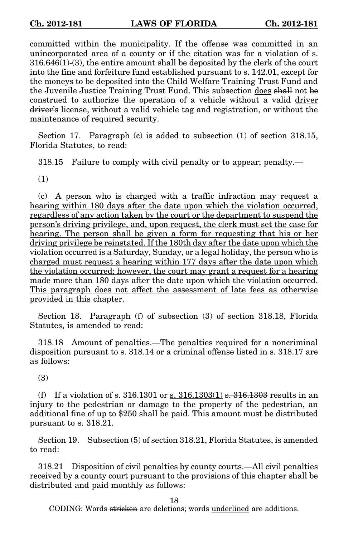committed within the municipality. If the offense was committed in an unincorporated area of a county or if the citation was for a violation of s. 316.646(1)-(3), the entire amount shall be deposited by the clerk of the court into the fine and forfeiture fund established pursuant to s. 142.01, except for the moneys to be deposited into the Child Welfare Training Trust Fund and the Juvenile Justice Training Trust Fund. This subsection does shall not be construed to authorize the operation of a vehicle without a valid driver driver's license, without a valid vehicle tag and registration, or without the maintenance of required security.

Section 17. Paragraph (c) is added to subsection (1) of section 318.15, Florida Statutes, to read:

318.15 Failure to comply with civil penalty or to appear; penalty.—

(1)

(c) A person who is charged with a traffic infraction may request a hearing within 180 days after the date upon which the violation occurred, regardless of any action taken by the court or the department to suspend the person's driving privilege, and, upon request, the clerk must set the case for hearing. The person shall be given a form for requesting that his or her driving privilege be reinstated. If the 180th day after the date upon which the violation occurred is a Saturday, Sunday, or a legal holiday, the person who is charged must request a hearing within 177 days after the date upon which the violation occurred; however, the court may grant a request for a hearing made more than 180 days after the date upon which the violation occurred. This paragraph does not affect the assessment of late fees as otherwise provided in this chapter.

Section 18. Paragraph (f) of subsection (3) of section 318.18, Florida Statutes, is amended to read:

318.18 Amount of penalties.—The penalties required for a noncriminal disposition pursuant to s. 318.14 or a criminal offense listed in s. 318.17 are as follows:

(3)

(f) If a violation of s. 316.1301 or s.  $316.1303(1)$  s.  $316.1303$  results in an injury to the pedestrian or damage to the property of the pedestrian, an additional fine of up to \$250 shall be paid. This amount must be distributed pursuant to s. 318.21.

Section 19. Subsection (5) of section 318.21, Florida Statutes, is amended to read:

318.21 Disposition of civil penalties by county courts.—All civil penalties received by a county court pursuant to the provisions of this chapter shall be distributed and paid monthly as follows:

18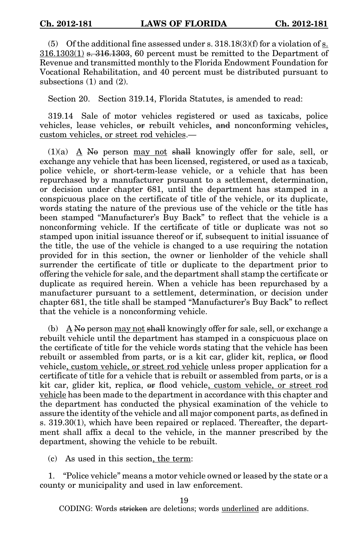(5) Of the additional fine assessed under s.  $318.18(3)(f)$  for a violation of s.  $316.1303(1)$  s.  $316.1303$ , 60 percent must be remitted to the Department of Revenue and transmitted monthly to the Florida Endowment Foundation for Vocational Rehabilitation, and 40 percent must be distributed pursuant to subsections (1) and (2).

Section 20. Section 319.14, Florida Statutes, is amended to read:

319.14 Sale of motor vehicles registered or used as taxicabs, police vehicles, lease vehicles, or rebuilt vehicles, and nonconforming vehicles, custom vehicles, or street rod vehicles.—

 $(1)(a)$  A No person may not shall knowingly offer for sale, sell, or exchange any vehicle that has been licensed, registered, or used as a taxicab, police vehicle, or short-term-lease vehicle, or a vehicle that has been repurchased by a manufacturer pursuant to a settlement, determination, or decision under chapter 681, until the department has stamped in a conspicuous place on the certificate of title of the vehicle, or its duplicate, words stating the nature of the previous use of the vehicle or the title has been stamped "Manufacturer's Buy Back" to reflect that the vehicle is a nonconforming vehicle. If the certificate of title or duplicate was not so stamped upon initial issuance thereof or if, subsequent to initial issuance of the title, the use of the vehicle is changed to a use requiring the notation provided for in this section, the owner or lienholder of the vehicle shall surrender the certificate of title or duplicate to the department prior to offering the vehicle for sale, and the department shall stamp the certificate or duplicate as required herein. When a vehicle has been repurchased by a manufacturer pursuant to a settlement, determination, or decision under chapter 681, the title shall be stamped "Manufacturer's Buy Back" to reflect that the vehicle is a nonconforming vehicle.

(b)  $\overrightarrow{A}$  No person may not shall knowingly offer for sale, sell, or exchange a rebuilt vehicle until the department has stamped in a conspicuous place on the certificate of title for the vehicle words stating that the vehicle has been rebuilt or assembled from parts, or is a kit car, glider kit, replica, or flood vehicle, custom vehicle, or street rod vehicle unless proper application for a certificate of title for a vehicle that is rebuilt or assembled from parts, or is a kit car, glider kit, replica, or flood vehicle, custom vehicle, or street rod vehicle has been made to the department in accordance with this chapter and the department has conducted the physical examination of the vehicle to assure the identity of the vehicle and all major component parts, as defined in s. 319.30(1), which have been repaired or replaced. Thereafter, the department shall affix a decal to the vehicle, in the manner prescribed by the department, showing the vehicle to be rebuilt.

(c) As used in this section, the term:

1. "Police vehicle" means a motor vehicle owned or leased by the state or a county or municipality and used in law enforcement.

19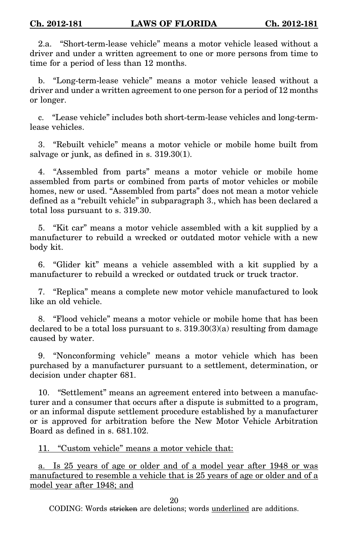2.a. "Short-term-lease vehicle" means a motor vehicle leased without a driver and under a written agreement to one or more persons from time to time for a period of less than 12 months.

b. "Long-term-lease vehicle" means a motor vehicle leased without a driver and under a written agreement to one person for a period of 12 months or longer.

c. "Lease vehicle" includes both short-term-lease vehicles and long-termlease vehicles.

3. "Rebuilt vehicle" means a motor vehicle or mobile home built from salvage or junk, as defined in s. 319.30(1).

4. "Assembled from parts" means a motor vehicle or mobile home assembled from parts or combined from parts of motor vehicles or mobile homes, new or used. "Assembled from parts" does not mean a motor vehicle defined as a "rebuilt vehicle" in subparagraph 3., which has been declared a total loss pursuant to s. 319.30.

5. "Kit car" means a motor vehicle assembled with a kit supplied by a manufacturer to rebuild a wrecked or outdated motor vehicle with a new body kit.

6. "Glider kit" means a vehicle assembled with a kit supplied by a manufacturer to rebuild a wrecked or outdated truck or truck tractor.

7. "Replica" means a complete new motor vehicle manufactured to look like an old vehicle.

8. "Flood vehicle" means a motor vehicle or mobile home that has been declared to be a total loss pursuant to s.  $319.30(3)(a)$  resulting from damage caused by water.

9. "Nonconforming vehicle" means a motor vehicle which has been purchased by a manufacturer pursuant to a settlement, determination, or decision under chapter 681.

10. "Settlement" means an agreement entered into between a manufacturer and a consumer that occurs after a dispute is submitted to a program, or an informal dispute settlement procedure established by a manufacturer or is approved for arbitration before the New Motor Vehicle Arbitration Board as defined in s. 681.102.

11. "Custom vehicle" means a motor vehicle that:

a. Is 25 years of age or older and of a model year after 1948 or was manufactured to resemble a vehicle that is 25 years of age or older and of a model year after 1948; and

20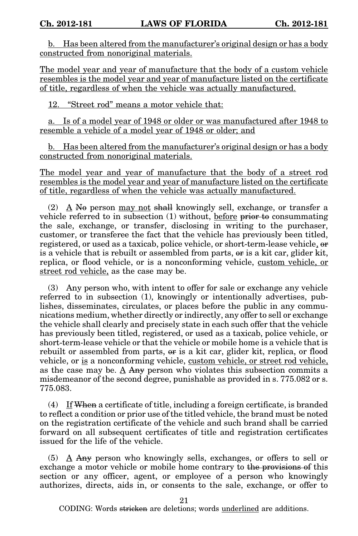b. Has been altered from the manufacturer's original design or has a body constructed from nonoriginal materials.

The model year and year of manufacture that the body of a custom vehicle resembles is the model year and year of manufacture listed on the certificate of title, regardless of when the vehicle was actually manufactured.

12. "Street rod" means a motor vehicle that:

a. Is of a model year of 1948 or older or was manufactured after 1948 to resemble a vehicle of a model year of 1948 or older; and

b. Has been altered from the manufacturer's original design or has a body constructed from nonoriginal materials.

The model year and year of manufacture that the body of a street rod resembles is the model year and year of manufacture listed on the certificate of title, regardless of when the vehicle was actually manufactured.

(2) A No person may not shall knowingly sell, exchange, or transfer a vehicle referred to in subsection  $(1)$  without, before prior to consummating the sale, exchange, or transfer, disclosing in writing to the purchaser, customer, or transferee the fact that the vehicle has previously been titled, registered, or used as a taxicab, police vehicle, or short-term-lease vehicle, or is a vehicle that is rebuilt or assembled from parts, or is a kit car, glider kit, replica, or flood vehicle, or is a nonconforming vehicle, custom vehicle, or street rod vehicle, as the case may be.

(3) Any person who, with intent to offer for sale or exchange any vehicle referred to in subsection (1), knowingly or intentionally advertises, publishes, disseminates, circulates, or places before the public in any communications medium, whether directly or indirectly, any offer to sell or exchange the vehicle shall clearly and precisely state in each such offer that the vehicle has previously been titled, registered, or used as a taxicab, police vehicle, or short-term-lease vehicle or that the vehicle or mobile home is a vehicle that is rebuilt or assembled from parts,  $\theta$ r is a kit car, glider kit, replica, or flood vehicle, or is a nonconforming vehicle, custom vehicle, or street rod vehicle, as the case may be. A Any person who violates this subsection commits a misdemeanor of the second degree, punishable as provided in s. 775.082 or s. 775.083.

(4) If When a certificate of title, including a foreign certificate, is branded to reflect a condition or prior use of the titled vehicle, the brand must be noted on the registration certificate of the vehicle and such brand shall be carried forward on all subsequent certificates of title and registration certificates issued for the life of the vehicle.

(5)  $\Delta$  Any person who knowingly sells, exchanges, or offers to sell or exchange a motor vehicle or mobile home contrary to the provisions of this section or any officer, agent, or employee of a person who knowingly authorizes, directs, aids in, or consents to the sale, exchange, or offer to

21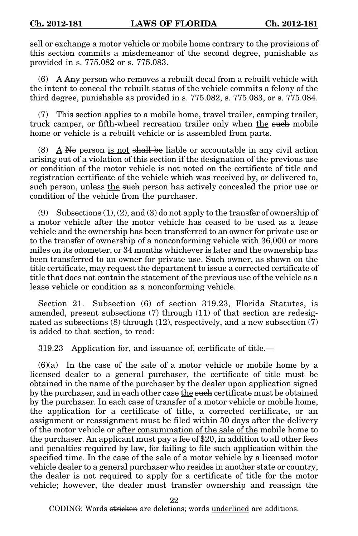sell or exchange a motor vehicle or mobile home contrary to the provisions of this section commits a misdemeanor of the second degree, punishable as provided in s. 775.082 or s. 775.083.

(6)  $\Delta$  Any person who removes a rebuilt decal from a rebuilt vehicle with the intent to conceal the rebuilt status of the vehicle commits a felony of the third degree, punishable as provided in s. 775.082, s. 775.083, or s. 775.084.

(7) This section applies to a mobile home, travel trailer, camping trailer, truck camper, or fifth-wheel recreation trailer only when the such mobile home or vehicle is a rebuilt vehicle or is assembled from parts.

(8) A No person is not shall be liable or accountable in any civil action arising out of a violation of this section if the designation of the previous use or condition of the motor vehicle is not noted on the certificate of title and registration certificate of the vehicle which was received by, or delivered to, such person, unless the such person has actively concealed the prior use or condition of the vehicle from the purchaser.

(9) Subsections  $(1)$ ,  $(2)$ , and  $(3)$  do not apply to the transfer of ownership of a motor vehicle after the motor vehicle has ceased to be used as a lease vehicle and the ownership has been transferred to an owner for private use or to the transfer of ownership of a nonconforming vehicle with 36,000 or more miles on its odometer, or 34 months whichever is later and the ownership has been transferred to an owner for private use. Such owner, as shown on the title certificate, may request the department to issue a corrected certificate of title that does not contain the statement of the previous use of the vehicle as a lease vehicle or condition as a nonconforming vehicle.

Section 21. Subsection (6) of section 319.23, Florida Statutes, is amended, present subsections (7) through (11) of that section are redesignated as subsections (8) through (12), respectively, and a new subsection (7) is added to that section, to read:

319.23 Application for, and issuance of, certificate of title.—

(6)(a) In the case of the sale of a motor vehicle or mobile home by a licensed dealer to a general purchaser, the certificate of title must be obtained in the name of the purchaser by the dealer upon application signed by the purchaser, and in each other case the such certificate must be obtained by the purchaser. In each case of transfer of a motor vehicle or mobile home, the application for a certificate of title, a corrected certificate, or an assignment or reassignment must be filed within 30 days after the delivery of the motor vehicle or after consummation of the sale of the mobile home to the purchaser. An applicant must pay a fee of \$20, in addition to all other fees and penalties required by law, for failing to file such application within the specified time. In the case of the sale of a motor vehicle by a licensed motor vehicle dealer to a general purchaser who resides in another state or country, the dealer is not required to apply for a certificate of title for the motor vehicle; however, the dealer must transfer ownership and reassign the

22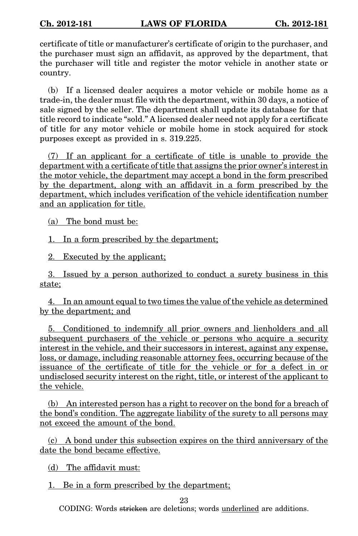certificate of title or manufacturer's certificate of origin to the purchaser, and the purchaser must sign an affidavit, as approved by the department, that the purchaser will title and register the motor vehicle in another state or country.

(b) If a licensed dealer acquires a motor vehicle or mobile home as a trade-in, the dealer must file with the department, within 30 days, a notice of sale signed by the seller. The department shall update its database for that title record to indicate "sold." A licensed dealer need not apply for a certificate of title for any motor vehicle or mobile home in stock acquired for stock purposes except as provided in s. 319.225.

(7) If an applicant for a certificate of title is unable to provide the department with a certificate of title that assigns the prior owner's interest in the motor vehicle, the department may accept a bond in the form prescribed by the department, along with an affidavit in a form prescribed by the department, which includes verification of the vehicle identification number and an application for title.

(a) The bond must be:

1. In a form prescribed by the department;

2. Executed by the applicant;

3. Issued by a person authorized to conduct a surety business in this state;

4. In an amount equal to two times the value of the vehicle as determined by the department; and

5. Conditioned to indemnify all prior owners and lienholders and all subsequent purchasers of the vehicle or persons who acquire a security interest in the vehicle, and their successors in interest, against any expense, loss, or damage, including reasonable attorney fees, occurring because of the issuance of the certificate of title for the vehicle or for a defect in or undisclosed security interest on the right, title, or interest of the applicant to the vehicle.

(b) An interested person has a right to recover on the bond for a breach of the bond's condition. The aggregate liability of the surety to all persons may not exceed the amount of the bond.

(c) A bond under this subsection expires on the third anniversary of the date the bond became effective.

(d) The affidavit must:

1. Be in a form prescribed by the department;

23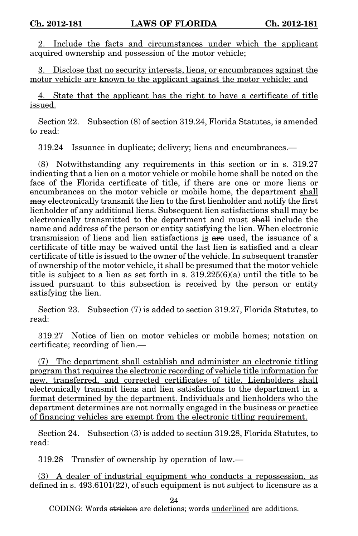2. Include the facts and circumstances under which the applicant acquired ownership and possession of the motor vehicle;

3. Disclose that no security interests, liens, or encumbrances against the motor vehicle are known to the applicant against the motor vehicle; and

4. State that the applicant has the right to have a certificate of title issued.

Section 22. Subsection (8) of section 319.24, Florida Statutes, is amended to read:

319.24 Issuance in duplicate; delivery; liens and encumbrances.—

(8) Notwithstanding any requirements in this section or in s. 319.27 indicating that a lien on a motor vehicle or mobile home shall be noted on the face of the Florida certificate of title, if there are one or more liens or encumbrances on the motor vehicle or mobile home, the department shall may electronically transmit the lien to the first lienholder and notify the first lienholder of any additional liens. Subsequent lien satisfactions shall may be electronically transmitted to the department and must shall include the name and address of the person or entity satisfying the lien. When electronic transmission of liens and lien satisfactions is are used, the issuance of a certificate of title may be waived until the last lien is satisfied and a clear certificate of title is issued to the owner of the vehicle. In subsequent transfer of ownership of the motor vehicle, it shall be presumed that the motor vehicle title is subject to a lien as set forth in s.  $319.225(6)(a)$  until the title to be issued pursuant to this subsection is received by the person or entity satisfying the lien.

Section 23. Subsection (7) is added to section 319.27, Florida Statutes, to read:

319.27 Notice of lien on motor vehicles or mobile homes; notation on certificate; recording of lien.—

(7) The department shall establish and administer an electronic titling program that requires the electronic recording of vehicle title information for new, transferred, and corrected certificates of title. Lienholders shall electronically transmit liens and lien satisfactions to the department in a format determined by the department. Individuals and lienholders who the department determines are not normally engaged in the business or practice of financing vehicles are exempt from the electronic titling requirement.

Section 24. Subsection (3) is added to section 319.28, Florida Statutes, to read:

319.28 Transfer of ownership by operation of law.—

(3) A dealer of industrial equipment who conducts a repossession, as defined in s.  $493.6101(22)$ , of such equipment is not subject to licensure as a

24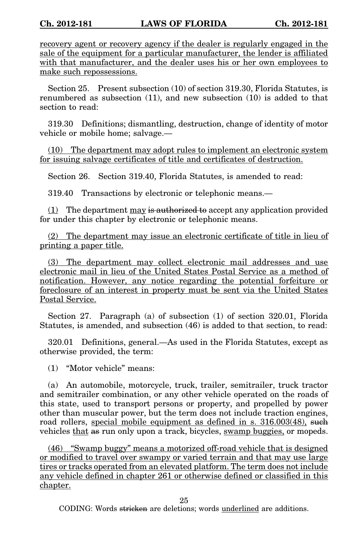recovery agent or recovery agency if the dealer is regularly engaged in the sale of the equipment for a particular manufacturer, the lender is affiliated with that manufacturer, and the dealer uses his or her own employees to make such repossessions.

Section 25. Present subsection (10) of section 319.30, Florida Statutes, is renumbered as subsection (11), and new subsection (10) is added to that section to read:

319.30 Definitions; dismantling, destruction, change of identity of motor vehicle or mobile home; salvage.—

(10) The department may adopt rules to implement an electronic system for issuing salvage certificates of title and certificates of destruction.

Section 26. Section 319.40, Florida Statutes, is amended to read:

319.40 Transactions by electronic or telephonic means.—

 $(1)$  The department  $\frac{\text{may}}{\text{is}\text{ authorized}}$  to accept any application provided for under this chapter by electronic or telephonic means.

(2) The department may issue an electronic certificate of title in lieu of printing a paper title.

(3) The department may collect electronic mail addresses and use electronic mail in lieu of the United States Postal Service as a method of notification. However, any notice regarding the potential forfeiture or foreclosure of an interest in property must be sent via the United States Postal Service.

Section 27. Paragraph (a) of subsection (1) of section 320.01, Florida Statutes, is amended, and subsection (46) is added to that section, to read:

320.01 Definitions, general.—As used in the Florida Statutes, except as otherwise provided, the term:

(1) "Motor vehicle" means:

(a) An automobile, motorcycle, truck, trailer, semitrailer, truck tractor and semitrailer combination, or any other vehicle operated on the roads of this state, used to transport persons or property, and propelled by power other than muscular power, but the term does not include traction engines, road rollers, special mobile equipment as defined in s. 316.003(48), such vehicles that as run only upon a track, bicycles, swamp buggies, or mopeds.

(46) "Swamp buggy" means a motorized off-road vehicle that is designed or modified to travel over swampy or varied terrain and that may use large tires or tracks operated from an elevated platform. The term does not include any vehicle defined in chapter 261 or otherwise defined or classified in this chapter.

25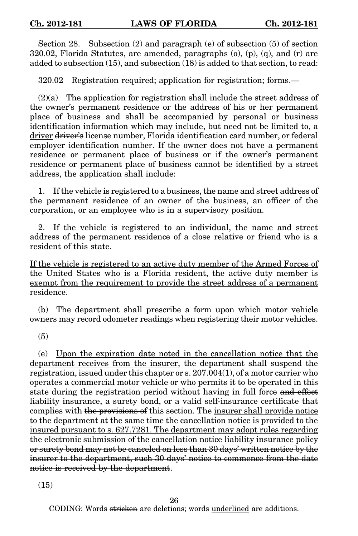Section 28. Subsection (2) and paragraph (e) of subsection (5) of section 320.02, Florida Statutes, are amended, paragraphs  $(0)$ ,  $(p)$ ,  $(q)$ , and  $(r)$  are added to subsection (15), and subsection (18) is added to that section, to read:

320.02 Registration required; application for registration; forms.—

(2)(a) The application for registration shall include the street address of the owner's permanent residence or the address of his or her permanent place of business and shall be accompanied by personal or business identification information which may include, but need not be limited to, a driver driver's license number, Florida identification card number, or federal employer identification number. If the owner does not have a permanent residence or permanent place of business or if the owner's permanent residence or permanent place of business cannot be identified by a street address, the application shall include:

1. If the vehicle is registered to a business, the name and street address of the permanent residence of an owner of the business, an officer of the corporation, or an employee who is in a supervisory position.

2. If the vehicle is registered to an individual, the name and street address of the permanent residence of a close relative or friend who is a resident of this state.

If the vehicle is registered to an active duty member of the Armed Forces of the United States who is a Florida resident, the active duty member is exempt from the requirement to provide the street address of a permanent residence.

(b) The department shall prescribe a form upon which motor vehicle owners may record odometer readings when registering their motor vehicles.

(5)

(e) Upon the expiration date noted in the cancellation notice that the department receives from the insurer, the department shall suspend the registration, issued under this chapter or s. 207.004(1), of a motor carrier who operates a commercial motor vehicle or who permits it to be operated in this state during the registration period without having in full force and effect liability insurance, a surety bond, or a valid self-insurance certificate that complies with the provisions of this section. The insurer shall provide notice to the department at the same time the cancellation notice is provided to the insured pursuant to s. 627.7281. The department may adopt rules regarding the electronic submission of the cancellation notice liability insurance policy or surety bond may not be canceled on less than 30 days' written notice by the insurer to the department, such 30 days' notice to commence from the date notice is received by the department.

(15)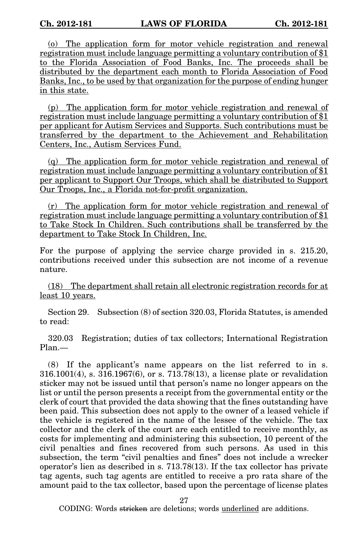(o) The application form for motor vehicle registration and renewal registration must include language permitting a voluntary contribution of \$1 to the Florida Association of Food Banks, Inc. The proceeds shall be distributed by the department each month to Florida Association of Food Banks, Inc., to be used by that organization for the purpose of ending hunger in this state.

(p) The application form for motor vehicle registration and renewal of registration must include language permitting a voluntary contribution of \$1 per applicant for Autism Services and Supports. Such contributions must be transferred by the department to the Achievement and Rehabilitation Centers, Inc., Autism Services Fund.

(q) The application form for motor vehicle registration and renewal of registration must include language permitting a voluntary contribution of \$1 per applicant to Support Our Troops, which shall be distributed to Support Our Troops, Inc., a Florida not-for-profit organization.

(r) The application form for motor vehicle registration and renewal of registration must include language permitting a voluntary contribution of \$1 to Take Stock In Children. Such contributions shall be transferred by the department to Take Stock In Children, Inc.

For the purpose of applying the service charge provided in s. 215.20, contributions received under this subsection are not income of a revenue nature.

(18) The department shall retain all electronic registration records for at least 10 years.

Section 29. Subsection (8) of section 320.03, Florida Statutes, is amended to read:

320.03 Registration; duties of tax collectors; International Registration Plan.—

(8) If the applicant's name appears on the list referred to in s. 316.1001(4), s. 316.1967(6), or s. 713.78(13), a license plate or revalidation sticker may not be issued until that person's name no longer appears on the list or until the person presents a receipt from the governmental entity or the clerk of court that provided the data showing that the fines outstanding have been paid. This subsection does not apply to the owner of a leased vehicle if the vehicle is registered in the name of the lessee of the vehicle. The tax collector and the clerk of the court are each entitled to receive monthly, as costs for implementing and administering this subsection, 10 percent of the civil penalties and fines recovered from such persons. As used in this subsection, the term "civil penalties and fines" does not include a wrecker operator's lien as described in s. 713.78(13). If the tax collector has private tag agents, such tag agents are entitled to receive a pro rata share of the amount paid to the tax collector, based upon the percentage of license plates

27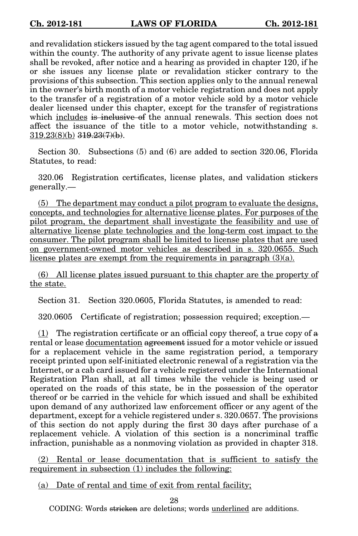and revalidation stickers issued by the tag agent compared to the total issued within the county. The authority of any private agent to issue license plates shall be revoked, after notice and a hearing as provided in chapter 120, if he or she issues any license plate or revalidation sticker contrary to the provisions of this subsection. This section applies only to the annual renewal in the owner's birth month of a motor vehicle registration and does not apply to the transfer of a registration of a motor vehicle sold by a motor vehicle dealer licensed under this chapter, except for the transfer of registrations which includes is inclusive of the annual renewals. This section does not affect the issuance of the title to a motor vehicle, notwithstanding s.  $319.23(8)(b)$   $319.23(7)(b)$ .

Section 30. Subsections (5) and (6) are added to section 320.06, Florida Statutes, to read:

320.06 Registration certificates, license plates, and validation stickers generally.—

(5) The department may conduct a pilot program to evaluate the designs, concepts, and technologies for alternative license plates. For purposes of the pilot program, the department shall investigate the feasibility and use of alternative license plate technologies and the long-term cost impact to the consumer. The pilot program shall be limited to license plates that are used on government-owned motor vehicles as described in s. 320.0655. Such license plates are exempt from the requirements in paragraph (3)(a).

(6) All license plates issued pursuant to this chapter are the property of the state.

Section 31. Section 320.0605, Florida Statutes, is amended to read:

320.0605 Certificate of registration; possession required; exception.—

(1) The registration certificate or an official copy thereof, a true copy of a rental or lease documentation agreement issued for a motor vehicle or issued for a replacement vehicle in the same registration period, a temporary receipt printed upon self-initiated electronic renewal of a registration via the Internet, or a cab card issued for a vehicle registered under the International Registration Plan shall, at all times while the vehicle is being used or operated on the roads of this state, be in the possession of the operator thereof or be carried in the vehicle for which issued and shall be exhibited upon demand of any authorized law enforcement officer or any agent of the department, except for a vehicle registered under s. 320.0657. The provisions of this section do not apply during the first 30 days after purchase of a replacement vehicle. A violation of this section is a noncriminal traffic infraction, punishable as a nonmoving violation as provided in chapter 318.

(2) Rental or lease documentation that is sufficient to satisfy the requirement in subsection (1) includes the following:

(a) Date of rental and time of exit from rental facility;

28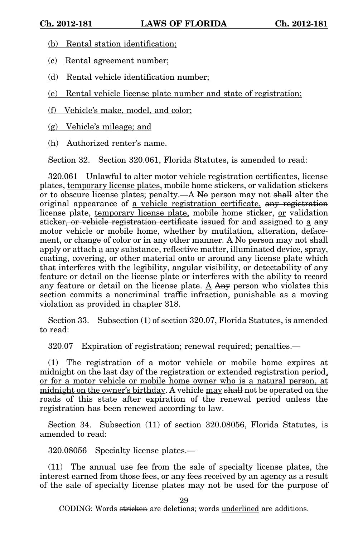(b) Rental station identification;

(c) Rental agreement number;

(d) Rental vehicle identification number;

(e) Rental vehicle license plate number and state of registration;

(f) Vehicle's make, model, and color;

(g) Vehicle's mileage; and

(h) Authorized renter's name.

Section 32. Section 320.061, Florida Statutes, is amended to read:

320.061 Unlawful to alter motor vehicle registration certificates, license plates, temporary license plates, mobile home stickers, or validation stickers or to obscure license plates; penalty.— $\underline{A}$  No person may not shall alter the original appearance of a vehicle registration certificate, any registration license plate, temporary license plate, mobile home sticker, or validation sticker, or vehicle registration certificate issued for and assigned to a any motor vehicle or mobile home, whether by mutilation, alteration, defacement, or change of color or in any other manner.  $\underline{A}$  No person may not shall apply or attach a any substance, reflective matter, illuminated device, spray, coating, covering, or other material onto or around any license plate which that interferes with the legibility, angular visibility, or detectability of any feature or detail on the license plate or interferes with the ability to record any feature or detail on the license plate. A Any person who violates this section commits a noncriminal traffic infraction, punishable as a moving violation as provided in chapter 318.

Section 33. Subsection (1) of section 320.07, Florida Statutes, is amended to read:

320.07 Expiration of registration; renewal required; penalties.—

(1) The registration of a motor vehicle or mobile home expires at midnight on the last day of the registration or extended registration period, or for a motor vehicle or mobile home owner who is a natural person, at midnight on the owner's birthday. A vehicle may shall not be operated on the roads of this state after expiration of the renewal period unless the registration has been renewed according to law.

Section 34. Subsection (11) of section 320.08056, Florida Statutes, is amended to read:

320.08056 Specialty license plates.—

(11) The annual use fee from the sale of specialty license plates, the interest earned from those fees, or any fees received by an agency as a result of the sale of specialty license plates may not be used for the purpose of

29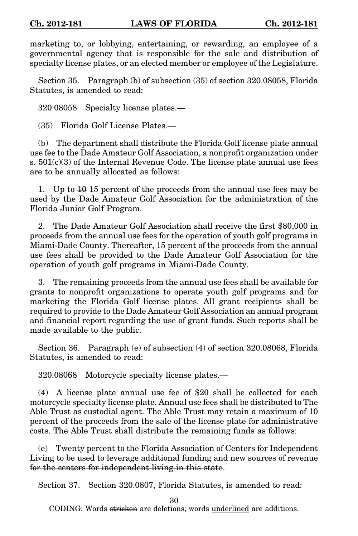marketing to, or lobbying, entertaining, or rewarding, an employee of a governmental agency that is responsible for the sale and distribution of specialty license plates, or an elected member or employee of the Legislature.

Section 35. Paragraph (b) of subsection (35) of section 320.08058, Florida Statutes, is amended to read:

320.08058 Specialty license plates.—

(35) Florida Golf License Plates.—

(b) The department shall distribute the Florida Golf license plate annual use fee to the Dade Amateur Golf Association, a nonprofit organization under s.  $501(c)(3)$  of the Internal Revenue Code. The license plate annual use fees are to be annually allocated as follows:

1. Up to  $10 \text{ }\mu\text{ }15$  percent of the proceeds from the annual use fees may be used by the Dade Amateur Golf Association for the administration of the Florida Junior Golf Program.

2. The Dade Amateur Golf Association shall receive the first \$80,000 in proceeds from the annual use fees for the operation of youth golf programs in Miami-Dade County. Thereafter, 15 percent of the proceeds from the annual use fees shall be provided to the Dade Amateur Golf Association for the operation of youth golf programs in Miami-Dade County.

3. The remaining proceeds from the annual use fees shall be available for grants to nonprofit organizations to operate youth golf programs and for marketing the Florida Golf license plates. All grant recipients shall be required to provide to the Dade Amateur Golf Association an annual program and financial report regarding the use of grant funds. Such reports shall be made available to the public.

Section 36. Paragraph (e) of subsection (4) of section 320.08068, Florida Statutes, is amended to read:

320.08068 Motorcycle specialty license plates.—

(4) A license plate annual use fee of \$20 shall be collected for each motorcycle specialty license plate. Annual use fees shall be distributed to The Able Trust as custodial agent. The Able Trust may retain a maximum of 10 percent of the proceeds from the sale of the license plate for administrative costs. The Able Trust shall distribute the remaining funds as follows:

(e) Twenty percent to the Florida Association of Centers for Independent Living to be used to leverage additional funding and new sources of revenue for the centers for independent living in this state.

Section 37. Section 320.0807, Florida Statutes, is amended to read:

30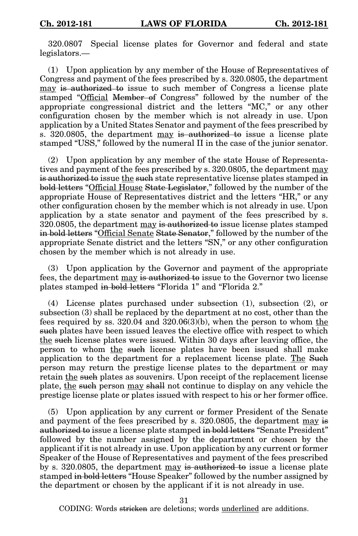320.0807 Special license plates for Governor and federal and state legislators.—

(1) Upon application by any member of the House of Representatives of Congress and payment of the fees prescribed by s. 320.0805, the department may is authorized to issue to such member of Congress a license plate stamped "Official Member of Congress" followed by the number of the appropriate congressional district and the letters "MC," or any other configuration chosen by the member which is not already in use. Upon application by a United States Senator and payment of the fees prescribed by s. 320.0805, the department may is authorized to issue a license plate stamped "USS," followed by the numeral II in the case of the junior senator.

(2) Upon application by any member of the state House of Representatives and payment of the fees prescribed by s. 320.0805, the department may is authorized to issue the such state representative license plates stamped in bold letters "Official House State Legislator," followed by the number of the appropriate House of Representatives district and the letters "HR," or any other configuration chosen by the member which is not already in use. Upon application by a state senator and payment of the fees prescribed by s. 320.0805, the department may is authorized to issue license plates stamped in bold letters "Official Senate State Senator," followed by the number of the appropriate Senate district and the letters "SN," or any other configuration chosen by the member which is not already in use.

(3) Upon application by the Governor and payment of the appropriate fees, the department may is authorized to issue to the Governor two license plates stamped in bold letters "Florida 1" and "Florida 2."

(4) License plates purchased under subsection (1), subsection (2), or subsection (3) shall be replaced by the department at no cost, other than the fees required by ss. 320.04 and 320.06(3)(b), when the person to whom the such plates have been issued leaves the elective office with respect to which the such license plates were issued. Within 30 days after leaving office, the person to whom the such license plates have been issued shall make application to the department for a replacement license plate. The Such person may return the prestige license plates to the department or may retain the such plates as souvenirs. Upon receipt of the replacement license plate, the such person may shall not continue to display on any vehicle the prestige license plate or plates issued with respect to his or her former office.

(5) Upon application by any current or former President of the Senate and payment of the fees prescribed by s. 320.0805, the department may is authorized to issue a license plate stamped in bold letters "Senate President" followed by the number assigned by the department or chosen by the applicant if it is not already in use. Upon application by any current or former Speaker of the House of Representatives and payment of the fees prescribed by s. 320.0805, the department may is authorized to issue a license plate stamped in bold letters "House Speaker" followed by the number assigned by the department or chosen by the applicant if it is not already in use.

31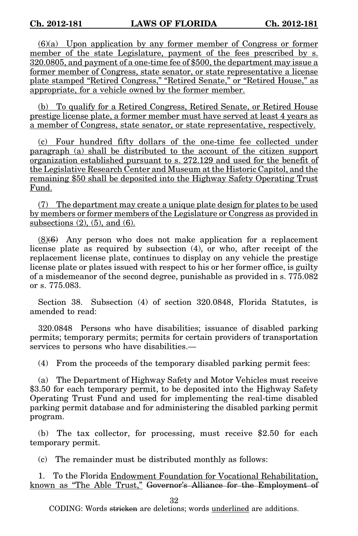(6)(a) Upon application by any former member of Congress or former member of the state Legislature, payment of the fees prescribed by s. 320.0805, and payment of a one-time fee of \$500, the department may issue a former member of Congress, state senator, or state representative a license plate stamped "Retired Congress," "Retired Senate," or "Retired House," as appropriate, for a vehicle owned by the former member.

(b) To qualify for a Retired Congress, Retired Senate, or Retired House prestige license plate, a former member must have served at least 4 years as a member of Congress, state senator, or state representative, respectively.

(c) Four hundred fifty dollars of the one-time fee collected under paragraph (a) shall be distributed to the account of the citizen support organization established pursuant to s. 272.129 and used for the benefit of the Legislative Research Center and Museum at the Historic Capitol, and the remaining \$50 shall be deposited into the Highway Safety Operating Trust Fund.

(7) The department may create a unique plate design for plates to be used by members or former members of the Legislature or Congress as provided in subsections  $(2)$ ,  $(5)$ , and  $(6)$ .

 $(8)(6)$  Any person who does not make application for a replacement license plate as required by subsection (4), or who, after receipt of the replacement license plate, continues to display on any vehicle the prestige license plate or plates issued with respect to his or her former office, is guilty of a misdemeanor of the second degree, punishable as provided in s. 775.082 or s. 775.083.

Section 38. Subsection (4) of section 320.0848, Florida Statutes, is amended to read:

320.0848 Persons who have disabilities; issuance of disabled parking permits; temporary permits; permits for certain providers of transportation services to persons who have disabilities.—

(4) From the proceeds of the temporary disabled parking permit fees:

(a) The Department of Highway Safety and Motor Vehicles must receive \$3.50 for each temporary permit, to be deposited into the Highway Safety Operating Trust Fund and used for implementing the real-time disabled parking permit database and for administering the disabled parking permit program.

(b) The tax collector, for processing, must receive \$2.50 for each temporary permit.

(c) The remainder must be distributed monthly as follows:

1. To the Florida Endowment Foundation for Vocational Rehabilitation, known as "The Able Trust," Governor's Alliance for the Employment of

32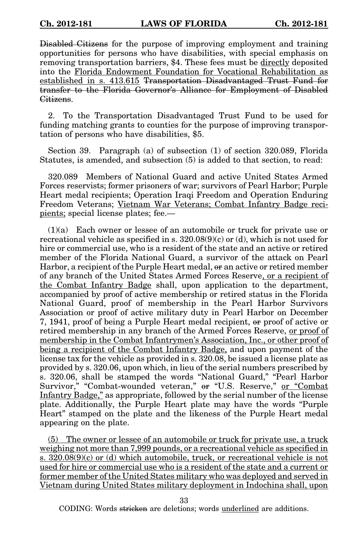Disabled Citizens for the purpose of improving employment and training opportunities for persons who have disabilities, with special emphasis on removing transportation barriers, \$4. These fees must be directly deposited into the Florida Endowment Foundation for Vocational Rehabilitation as established in s. 413.615 Transportation Disadvantaged Trust Fund for transfer to the Florida Governor's Alliance for Employment of Disabled Citizens.

2. To the Transportation Disadvantaged Trust Fund to be used for funding matching grants to counties for the purpose of improving transportation of persons who have disabilities, \$5.

Section 39. Paragraph (a) of subsection (1) of section 320.089, Florida Statutes, is amended, and subsection (5) is added to that section, to read:

320.089 Members of National Guard and active United States Armed Forces reservists; former prisoners of war; survivors of Pearl Harbor; Purple Heart medal recipients; Operation Iraqi Freedom and Operation Enduring Freedom Veterans; Vietnam War Veterans; Combat Infantry Badge recipients; special license plates; fee.—

(1)(a) Each owner or lessee of an automobile or truck for private use or recreational vehicle as specified in s.  $320.08(9)(c)$  or (d), which is not used for hire or commercial use, who is a resident of the state and an active or retired member of the Florida National Guard, a survivor of the attack on Pearl Harbor, a recipient of the Purple Heart medal,  $\theta$  an active or retired member of any branch of the United States Armed Forces Reserve, or a recipient of the Combat Infantry Badge shall, upon application to the department, accompanied by proof of active membership or retired status in the Florida National Guard, proof of membership in the Pearl Harbor Survivors Association or proof of active military duty in Pearl Harbor on December 7, 1941, proof of being a Purple Heart medal recipient, or proof of active or retired membership in any branch of the Armed Forces Reserve, or proof of membership in the Combat Infantrymen's Association, Inc., or other proof of being a recipient of the Combat Infantry Badge, and upon payment of the license tax for the vehicle as provided in s. 320.08, be issued a license plate as provided by s. 320.06, upon which, in lieu of the serial numbers prescribed by s. 320.06, shall be stamped the words "National Guard," "Pearl Harbor Survivor," "Combat-wounded veteran," or "U.S. Reserve," or "Combat Infantry Badge," as appropriate, followed by the serial number of the license plate. Additionally, the Purple Heart plate may have the words "Purple Heart" stamped on the plate and the likeness of the Purple Heart medal appearing on the plate.

(5) The owner or lessee of an automobile or truck for private use, a truck weighing not more than 7,999 pounds, or a recreational vehicle as specified in s. 320.08(9)(c) or (d) which automobile, truck, or recreational vehicle is not used for hire or commercial use who is a resident of the state and a current or former member of the United States military who was deployed and served in Vietnam during United States military deployment in Indochina shall, upon

33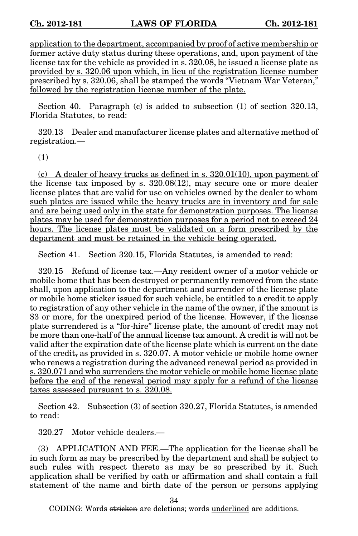application to the department, accompanied by proof of active membership or former active duty status during these operations, and, upon payment of the license tax for the vehicle as provided in s. 320.08, be issued a license plate as provided by s. 320.06 upon which, in lieu of the registration license number prescribed by s. 320.06, shall be stamped the words "Vietnam War Veteran," followed by the registration license number of the plate.

Section 40. Paragraph (c) is added to subsection (1) of section 320.13, Florida Statutes, to read:

320.13 Dealer and manufacturer license plates and alternative method of registration.—

(1)

(c) A dealer of heavy trucks as defined in s.  $320.01(10)$ , upon payment of the license tax imposed by s. 320.08(12), may secure one or more dealer license plates that are valid for use on vehicles owned by the dealer to whom such plates are issued while the heavy trucks are in inventory and for sale and are being used only in the state for demonstration purposes. The license plates may be used for demonstration purposes for a period not to exceed 24 hours. The license plates must be validated on a form prescribed by the department and must be retained in the vehicle being operated.

Section 41. Section 320.15, Florida Statutes, is amended to read:

320.15 Refund of license tax.—Any resident owner of a motor vehicle or mobile home that has been destroyed or permanently removed from the state shall, upon application to the department and surrender of the license plate or mobile home sticker issued for such vehicle, be entitled to a credit to apply to registration of any other vehicle in the name of the owner, if the amount is \$3 or more, for the unexpired period of the license. However, if the license plate surrendered is a "for-hire" license plate, the amount of credit may not be more than one-half of the annual license tax amount. A credit is will not be valid after the expiration date of the license plate which is current on the date of the credit, as provided in s. 320.07. A motor vehicle or mobile home owner who renews a registration during the advanced renewal period as provided in s. 320.071 and who surrenders the motor vehicle or mobile home license plate before the end of the renewal period may apply for a refund of the license taxes assessed pursuant to s. 320.08.

Section 42. Subsection (3) of section 320.27, Florida Statutes, is amended to read:

320.27 Motor vehicle dealers.—

(3) APPLICATION AND FEE.—The application for the license shall be in such form as may be prescribed by the department and shall be subject to such rules with respect thereto as may be so prescribed by it. Such application shall be verified by oath or affirmation and shall contain a full statement of the name and birth date of the person or persons applying

34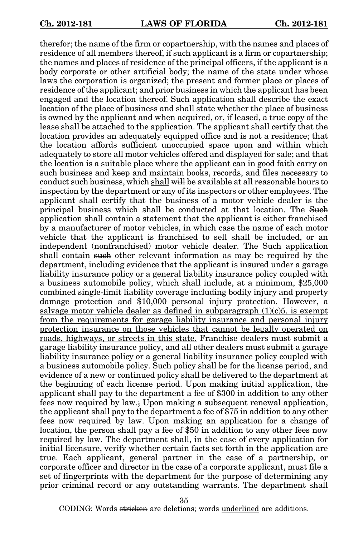therefor; the name of the firm or copartnership, with the names and places of residence of all members thereof, if such applicant is a firm or copartnership; the names and places of residence of the principal officers, if the applicant is a body corporate or other artificial body; the name of the state under whose laws the corporation is organized; the present and former place or places of residence of the applicant; and prior business in which the applicant has been engaged and the location thereof. Such application shall describe the exact location of the place of business and shall state whether the place of business is owned by the applicant and when acquired, or, if leased, a true copy of the lease shall be attached to the application. The applicant shall certify that the location provides an adequately equipped office and is not a residence; that the location affords sufficient unoccupied space upon and within which adequately to store all motor vehicles offered and displayed for sale; and that the location is a suitable place where the applicant can in good faith carry on such business and keep and maintain books, records, and files necessary to conduct such business, which shall will be available at all reasonable hours to inspection by the department or any of its inspectors or other employees. The applicant shall certify that the business of a motor vehicle dealer is the principal business which shall be conducted at that location. The Such application shall contain a statement that the applicant is either franchised by a manufacturer of motor vehicles, in which case the name of each motor vehicle that the applicant is franchised to sell shall be included, or an independent (nonfranchised) motor vehicle dealer. The Such application shall contain such other relevant information as may be required by the department, including evidence that the applicant is insured under a garage liability insurance policy or a general liability insurance policy coupled with a business automobile policy, which shall include, at a minimum, \$25,000 combined single-limit liability coverage including bodily injury and property damage protection and \$10,000 personal injury protection. However, a salvage motor vehicle dealer as defined in subparagraph  $(1)(c)5$ . is exempt from the requirements for garage liability insurance and personal injury protection insurance on those vehicles that cannot be legally operated on roads, highways, or streets in this state. Franchise dealers must submit a garage liability insurance policy, and all other dealers must submit a garage liability insurance policy or a general liability insurance policy coupled with a business automobile policy. Such policy shall be for the license period, and evidence of a new or continued policy shall be delivered to the department at the beginning of each license period. Upon making initial application, the applicant shall pay to the department a fee of \$300 in addition to any other fees now required by law.; Upon making a subsequent renewal application, the applicant shall pay to the department a fee of \$75 in addition to any other fees now required by law. Upon making an application for a change of location, the person shall pay a fee of \$50 in addition to any other fees now required by law. The department shall, in the case of every application for initial licensure, verify whether certain facts set forth in the application are true. Each applicant, general partner in the case of a partnership, or corporate officer and director in the case of a corporate applicant, must file a set of fingerprints with the department for the purpose of determining any prior criminal record or any outstanding warrants. The department shall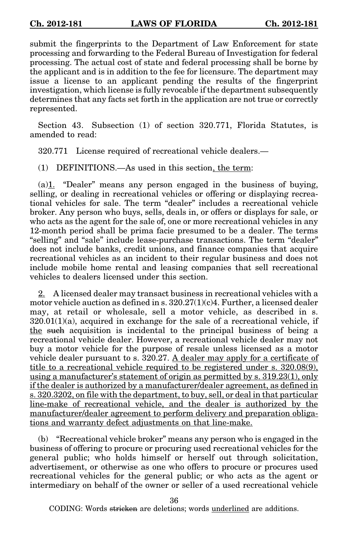submit the fingerprints to the Department of Law Enforcement for state processing and forwarding to the Federal Bureau of Investigation for federal processing. The actual cost of state and federal processing shall be borne by the applicant and is in addition to the fee for licensure. The department may issue a license to an applicant pending the results of the fingerprint investigation, which license is fully revocable if the department subsequently determines that any facts set forth in the application are not true or correctly represented.

Section 43. Subsection (1) of section 320.771, Florida Statutes, is amended to read:

320.771 License required of recreational vehicle dealers.—

(1) DEFINITIONS.—As used in this section, the term:

(a)1. "Dealer" means any person engaged in the business of buying, selling, or dealing in recreational vehicles or offering or displaying recreational vehicles for sale. The term "dealer" includes a recreational vehicle broker. Any person who buys, sells, deals in, or offers or displays for sale, or who acts as the agent for the sale of, one or more recreational vehicles in any 12-month period shall be prima facie presumed to be a dealer. The terms "selling" and "sale" include lease-purchase transactions. The term "dealer" does not include banks, credit unions, and finance companies that acquire recreational vehicles as an incident to their regular business and does not include mobile home rental and leasing companies that sell recreational vehicles to dealers licensed under this section.

2. A licensed dealer may transact business in recreational vehicles with a motor vehicle auction as defined in s.  $320.27(1)(c)4$ . Further, a licensed dealer may, at retail or wholesale, sell a motor vehicle, as described in s.  $320.01(1)(a)$ , acquired in exchange for the sale of a recreational vehicle, if the such acquisition is incidental to the principal business of being a recreational vehicle dealer. However, a recreational vehicle dealer may not buy a motor vehicle for the purpose of resale unless licensed as a motor vehicle dealer pursuant to s.  $320.27$ . A dealer may apply for a certificate of title to a recreational vehicle required to be registered under s. 320.08(9), using a manufacturer's statement of origin as permitted by s. 319.23(1), only if the dealer is authorized by a manufacturer/dealer agreement, as defined in s. 320.3202, on file with the department, to buy, sell, or deal in that particular line-make of recreational vehicle, and the dealer is authorized by the manufacturer/dealer agreement to perform delivery and preparation obligations and warranty defect adjustments on that line-make.

(b) "Recreational vehicle broker" means any person who is engaged in the business of offering to procure or procuring used recreational vehicles for the general public; who holds himself or herself out through solicitation, advertisement, or otherwise as one who offers to procure or procures used recreational vehicles for the general public; or who acts as the agent or intermediary on behalf of the owner or seller of a used recreational vehicle

36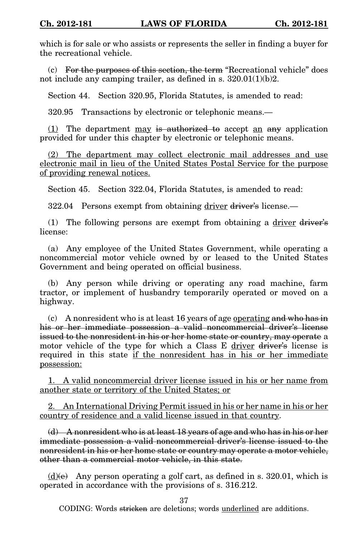which is for sale or who assists or represents the seller in finding a buyer for the recreational vehicle.

 $(c)$  For the purposes of this section, the term "Recreational vehicle" does not include any camping trailer, as defined in s. 320.01(1)(b)2.

Section 44. Section 320.95, Florida Statutes, is amended to read:

320.95 Transactions by electronic or telephonic means.—

(1) The department may is authorized to accept an any application provided for under this chapter by electronic or telephonic means.

(2) The department may collect electronic mail addresses and use electronic mail in lieu of the United States Postal Service for the purpose of providing renewal notices.

Section 45. Section 322.04, Florida Statutes, is amended to read:

322.04 Persons exempt from obtaining driver driver's license.—

(1) The following persons are exempt from obtaining a  $\frac{dr}{dr}$  driver's license:

(a) Any employee of the United States Government, while operating a noncommercial motor vehicle owned by or leased to the United States Government and being operated on official business.

(b) Any person while driving or operating any road machine, farm tractor, or implement of husbandry temporarily operated or moved on a highway.

(c) A nonresident who is at least 16 years of age operating and who has in his or her immediate possession a valid noncommercial driver's license issued to the nonresident in his or her home state or country, may operate a motor vehicle of the type for which a Class E driver driver's license is required in this state if the nonresident has in his or her immediate possession:

1. A valid noncommercial driver license issued in his or her name from another state or territory of the United States; or

2. An International Driving Permit issued in his or her name in his or her country of residence and a valid license issued in that country.

(d) A nonresident who is at least 18 years of age and who has in his or her immediate possession a valid noncommercial driver's license issued to the nonresident in his or her home state or country may operate a motor vehicle, other than a commercial motor vehicle, in this state.

 $(d)$ (e) Any person operating a golf cart, as defined in s. 320.01, which is operated in accordance with the provisions of s. 316.212.

37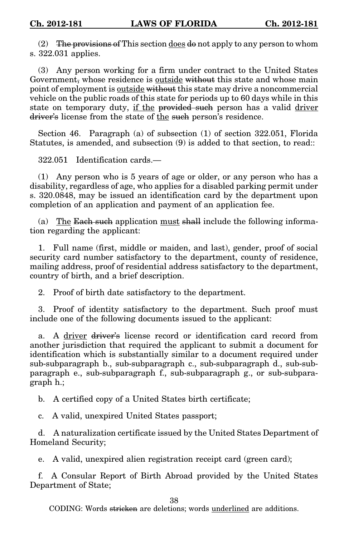(2) The provisions of This section does  $d\theta$  not apply to any person to whom s. 322.031 applies.

(3) Any person working for a firm under contract to the United States Government, whose residence is outside without this state and whose main point of employment is outside without this state may drive a noncommercial vehicle on the public roads of this state for periods up to 60 days while in this state on temporary duty, if the provided such person has a valid driver driver's license from the state of the such person's residence.

Section 46. Paragraph (a) of subsection (1) of section 322.051, Florida Statutes, is amended, and subsection (9) is added to that section, to read::

322.051 Identification cards.—

(1) Any person who is 5 years of age or older, or any person who has a disability, regardless of age, who applies for a disabled parking permit under s. 320.0848, may be issued an identification card by the department upon completion of an application and payment of an application fee.

(a) The Each such application must shall include the following information regarding the applicant:

1. Full name (first, middle or maiden, and last), gender, proof of social security card number satisfactory to the department, county of residence, mailing address, proof of residential address satisfactory to the department, country of birth, and a brief description.

2. Proof of birth date satisfactory to the department.

3. Proof of identity satisfactory to the department. Such proof must include one of the following documents issued to the applicant:

a. A driver driver's license record or identification card record from another jurisdiction that required the applicant to submit a document for identification which is substantially similar to a document required under sub-subparagraph b., sub-subparagraph c., sub-subparagraph d., sub-subparagraph e., sub-subparagraph f., sub-subparagraph g., or sub-subparagraph h.;

b. A certified copy of a United States birth certificate;

c. A valid, unexpired United States passport;

d. A naturalization certificate issued by the United States Department of Homeland Security;

e. A valid, unexpired alien registration receipt card (green card);

f. A Consular Report of Birth Abroad provided by the United States Department of State;

38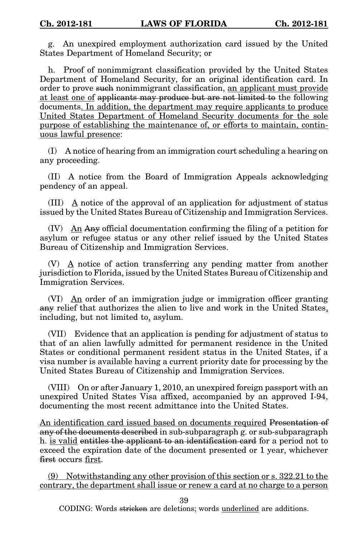g. An unexpired employment authorization card issued by the United States Department of Homeland Security; or

h. Proof of nonimmigrant classification provided by the United States Department of Homeland Security, for an original identification card. In order to prove such nonimmigrant classification, an applicant must provide at least one of applicants may produce but are not limited to the following documents. In addition, the department may require applicants to produce United States Department of Homeland Security documents for the sole purpose of establishing the maintenance of, or efforts to maintain, continuous lawful presence:

(I) A notice of hearing from an immigration court scheduling a hearing on any proceeding.

(II) A notice from the Board of Immigration Appeals acknowledging pendency of an appeal.

(III) A notice of the approval of an application for adjustment of status issued by the United States Bureau of Citizenship and Immigration Services.

(IV)  $\Delta n$  Any official documentation confirming the filing of a petition for asylum or refugee status or any other relief issued by the United States Bureau of Citizenship and Immigration Services.

(V)  $\Delta$  notice of action transferring any pending matter from another jurisdiction to Florida, issued by the United States Bureau of Citizenship and Immigration Services.

(VI)  $\Delta n$  order of an immigration judge or immigration officer granting any relief that authorizes the alien to live and work in the United States, including, but not limited to, asylum.

(VII) Evidence that an application is pending for adjustment of status to that of an alien lawfully admitted for permanent residence in the United States or conditional permanent resident status in the United States, if a visa number is available having a current priority date for processing by the United States Bureau of Citizenship and Immigration Services.

(VIII) On or after January 1, 2010, an unexpired foreign passport with an unexpired United States Visa affixed, accompanied by an approved I-94, documenting the most recent admittance into the United States.

An identification card issued based on documents required Presentation of any of the documents described in sub-subparagraph g. or sub-subparagraph h. is valid entitles the applicant to an identification card for a period not to exceed the expiration date of the document presented or 1 year, whichever first occurs first.

(9) Notwithstanding any other provision of this section or s. 322.21 to the contrary, the department shall issue or renew a card at no charge to a person

39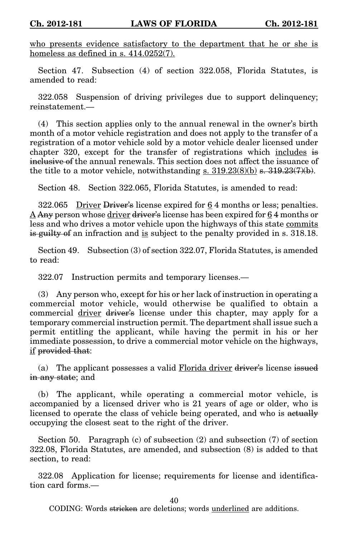who presents evidence satisfactory to the department that he or she is homeless as defined in s. 414.0252(7).

Section 47. Subsection (4) of section 322.058, Florida Statutes, is amended to read:

322.058 Suspension of driving privileges due to support delinquency; reinstatement.—

(4) This section applies only to the annual renewal in the owner's birth month of a motor vehicle registration and does not apply to the transfer of a registration of a motor vehicle sold by a motor vehicle dealer licensed under chapter 320, except for the transfer of registrations which includes is inclusive of the annual renewals. This section does not affect the issuance of the title to a motor vehicle, notwithstanding s.  $319.23(8)(b)$  s.  $319.23(7)(b)$ .

Section 48. Section 322.065, Florida Statutes, is amended to read:

322.065 Driver Driver's license expired for 6 4 months or less; penalties.  $\Delta$  Any person whose driver driver's license has been expired for 64 months or less and who drives a motor vehicle upon the highways of this state commits is guilty of an infraction and is subject to the penalty provided in s. 318.18.

Section 49. Subsection (3) of section 322.07, Florida Statutes, is amended to read:

322.07 Instruction permits and temporary licenses.—

(3) Any person who, except for his or her lack of instruction in operating a commercial motor vehicle, would otherwise be qualified to obtain a commercial driver driver's license under this chapter, may apply for a temporary commercial instruction permit. The department shall issue such a permit entitling the applicant, while having the permit in his or her immediate possession, to drive a commercial motor vehicle on the highways, if provided that:

(a) The applicant possesses a valid Florida driver driver's license issued in any state; and

(b) The applicant, while operating a commercial motor vehicle, is accompanied by a licensed driver who is 21 years of age or older, who is licensed to operate the class of vehicle being operated, and who is actually occupying the closest seat to the right of the driver.

Section 50. Paragraph (c) of subsection (2) and subsection (7) of section 322.08, Florida Statutes, are amended, and subsection (8) is added to that section, to read:

322.08 Application for license; requirements for license and identification card forms.—

40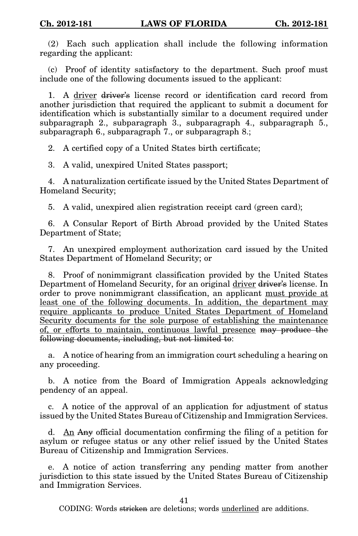(2) Each such application shall include the following information regarding the applicant:

(c) Proof of identity satisfactory to the department. Such proof must include one of the following documents issued to the applicant:

1. A driver driver's license record or identification card record from another jurisdiction that required the applicant to submit a document for identification which is substantially similar to a document required under subparagraph 2., subparagraph 3., subparagraph 4., subparagraph 5., subparagraph 6., subparagraph 7., or subparagraph 8.;

2. A certified copy of a United States birth certificate;

3. A valid, unexpired United States passport;

4. A naturalization certificate issued by the United States Department of Homeland Security;

5. A valid, unexpired alien registration receipt card (green card);

6. A Consular Report of Birth Abroad provided by the United States Department of State;

7. An unexpired employment authorization card issued by the United States Department of Homeland Security; or

8. Proof of nonimmigrant classification provided by the United States Department of Homeland Security, for an original driver driver's license. In order to prove nonimmigrant classification, an applicant must provide at least one of the following documents. In addition, the department may require applicants to produce United States Department of Homeland Security documents for the sole purpose of establishing the maintenance of, or efforts to maintain, continuous lawful presence may produce the following documents, including, but not limited to:

a. A notice of hearing from an immigration court scheduling a hearing on any proceeding.

b. A notice from the Board of Immigration Appeals acknowledging pendency of an appeal.

c. A notice of the approval of an application for adjustment of status issued by the United States Bureau of Citizenship and Immigration Services.

d. An Any official documentation confirming the filing of a petition for asylum or refugee status or any other relief issued by the United States Bureau of Citizenship and Immigration Services.

e. A notice of action transferring any pending matter from another jurisdiction to this state issued by the United States Bureau of Citizenship and Immigration Services.

41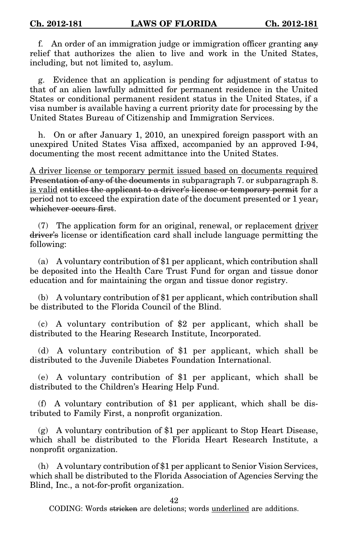f. An order of an immigration judge or immigration officer granting any relief that authorizes the alien to live and work in the United States, including, but not limited to, asylum.

g. Evidence that an application is pending for adjustment of status to that of an alien lawfully admitted for permanent residence in the United States or conditional permanent resident status in the United States, if a visa number is available having a current priority date for processing by the United States Bureau of Citizenship and Immigration Services.

h. On or after January 1, 2010, an unexpired foreign passport with an unexpired United States Visa affixed, accompanied by an approved I-94, documenting the most recent admittance into the United States.

A driver license or temporary permit issued based on documents required Presentation of any of the documents in subparagraph 7. or subparagraph 8. is valid entitles the applicant to a driver's license or temporary permit for a period not to exceed the expiration date of the document presented or 1 year, whichever occurs first.

(7) The application form for an original, renewal, or replacement driver driver's license or identification card shall include language permitting the following:

(a) A voluntary contribution of \$1 per applicant, which contribution shall be deposited into the Health Care Trust Fund for organ and tissue donor education and for maintaining the organ and tissue donor registry.

(b) A voluntary contribution of \$1 per applicant, which contribution shall be distributed to the Florida Council of the Blind.

(c) A voluntary contribution of \$2 per applicant, which shall be distributed to the Hearing Research Institute, Incorporated.

(d) A voluntary contribution of \$1 per applicant, which shall be distributed to the Juvenile Diabetes Foundation International.

(e) A voluntary contribution of \$1 per applicant, which shall be distributed to the Children's Hearing Help Fund.

(f) A voluntary contribution of \$1 per applicant, which shall be distributed to Family First, a nonprofit organization.

(g) A voluntary contribution of \$1 per applicant to Stop Heart Disease, which shall be distributed to the Florida Heart Research Institute, a nonprofit organization.

(h) A voluntary contribution of \$1 per applicant to Senior Vision Services, which shall be distributed to the Florida Association of Agencies Serving the Blind, Inc., a not-for-profit organization.

42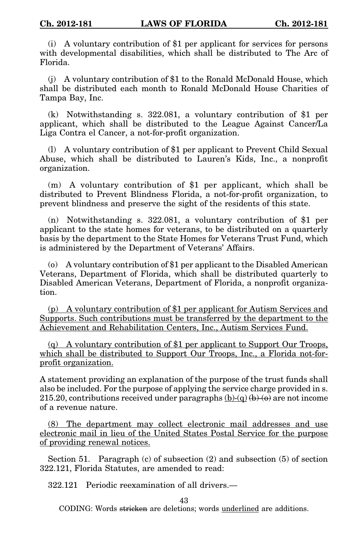(i) A voluntary contribution of \$1 per applicant for services for persons with developmental disabilities, which shall be distributed to The Arc of Florida.

(j) A voluntary contribution of \$1 to the Ronald McDonald House, which shall be distributed each month to Ronald McDonald House Charities of Tampa Bay, Inc.

(k) Notwithstanding s. 322.081, a voluntary contribution of \$1 per applicant, which shall be distributed to the League Against Cancer/La Liga Contra el Cancer, a not-for-profit organization.

(l) A voluntary contribution of \$1 per applicant to Prevent Child Sexual Abuse, which shall be distributed to Lauren's Kids, Inc., a nonprofit organization.

(m) A voluntary contribution of \$1 per applicant, which shall be distributed to Prevent Blindness Florida, a not-for-profit organization, to prevent blindness and preserve the sight of the residents of this state.

(n) Notwithstanding s. 322.081, a voluntary contribution of \$1 per applicant to the state homes for veterans, to be distributed on a quarterly basis by the department to the State Homes for Veterans Trust Fund, which is administered by the Department of Veterans' Affairs.

(o) A voluntary contribution of \$1 per applicant to the Disabled American Veterans, Department of Florida, which shall be distributed quarterly to Disabled American Veterans, Department of Florida, a nonprofit organization.

(p) A voluntary contribution of \$1 per applicant for Autism Services and Supports. Such contributions must be transferred by the department to the Achievement and Rehabilitation Centers, Inc., Autism Services Fund.

(q) A voluntary contribution of \$1 per applicant to Support Our Troops, which shall be distributed to Support Our Troops, Inc., a Florida not-forprofit organization.

A statement providing an explanation of the purpose of the trust funds shall also be included. For the purpose of applying the service charge provided in s. 215.20, contributions received under paragraphs  $(b)-(q)$   $(b)-(q)$  are not income of a revenue nature.

(8) The department may collect electronic mail addresses and use electronic mail in lieu of the United States Postal Service for the purpose of providing renewal notices.

Section 51. Paragraph (c) of subsection (2) and subsection (5) of section 322.121, Florida Statutes, are amended to read:

322.121 Periodic reexamination of all drivers.—

43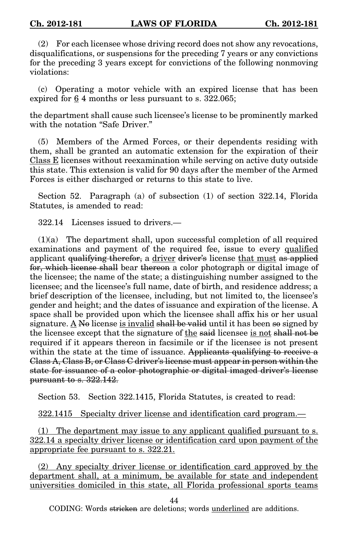(2) For each licensee whose driving record does not show any revocations, disqualifications, or suspensions for the preceding 7 years or any convictions for the preceding 3 years except for convictions of the following nonmoving violations:

(c) Operating a motor vehicle with an expired license that has been expired for 6 4 months or less pursuant to s. 322.065;

the department shall cause such licensee's license to be prominently marked with the notation "Safe Driver."

(5) Members of the Armed Forces, or their dependents residing with them, shall be granted an automatic extension for the expiration of their Class E licenses without reexamination while serving on active duty outside this state. This extension is valid for 90 days after the member of the Armed Forces is either discharged or returns to this state to live.

Section 52. Paragraph (a) of subsection (1) of section 322.14, Florida Statutes, is amended to read:

322.14 Licenses issued to drivers.—

(1)(a) The department shall, upon successful completion of all required examinations and payment of the required fee, issue to every qualified applicant <del>qualifying therefor,</del> a driver driver's license that must as applied for, which license shall bear thereon a color photograph or digital image of the licensee; the name of the state; a distinguishing number assigned to the licensee; and the licensee's full name, date of birth, and residence address; a brief description of the licensee, including, but not limited to, the licensee's gender and height; and the dates of issuance and expiration of the license. A space shall be provided upon which the licensee shall affix his or her usual signature. A No license is invalid shall be valid until it has been so signed by the licensee except that the signature of the said licensee is not shall not be required if it appears thereon in facsimile or if the licensee is not present within the state at the time of issuance. Applicants qualifying to receive a Class A, Class B, or Class C driver's license must appear in person within the state for issuance of a color photographic or digital imaged driver's license pursuant to s. 322.142.

Section 53. Section 322.1415, Florida Statutes, is created to read:

322.1415 Specialty driver license and identification card program.—

(1) The department may issue to any applicant qualified pursuant to s. 322.14 a specialty driver license or identification card upon payment of the appropriate fee pursuant to s. 322.21.

(2) Any specialty driver license or identification card approved by the department shall, at a minimum, be available for state and independent universities domiciled in this state, all Florida professional sports teams

44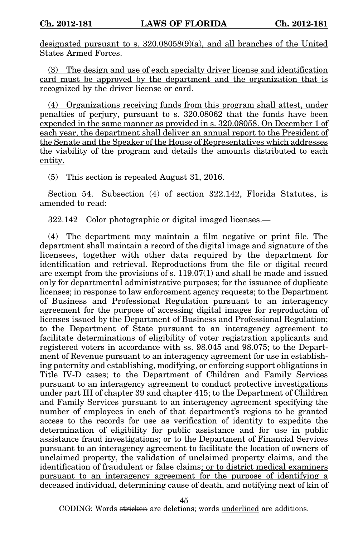designated pursuant to s. 320.08058(9)(a), and all branches of the United States Armed Forces.

(3) The design and use of each specialty driver license and identification card must be approved by the department and the organization that is recognized by the driver license or card.

(4) Organizations receiving funds from this program shall attest, under penalties of perjury, pursuant to s. 320.08062 that the funds have been expended in the same manner as provided in s. 320.08058. On December 1 of each year, the department shall deliver an annual report to the President of the Senate and the Speaker of the House of Representatives which addresses the viability of the program and details the amounts distributed to each entity.

(5) This section is repealed August 31, 2016.

Section 54. Subsection (4) of section 322.142, Florida Statutes, is amended to read:

322.142 Color photographic or digital imaged licenses.—

(4) The department may maintain a film negative or print file. The department shall maintain a record of the digital image and signature of the licensees, together with other data required by the department for identification and retrieval. Reproductions from the file or digital record are exempt from the provisions of s. 119.07(1) and shall be made and issued only for departmental administrative purposes; for the issuance of duplicate licenses; in response to law enforcement agency requests; to the Department of Business and Professional Regulation pursuant to an interagency agreement for the purpose of accessing digital images for reproduction of licenses issued by the Department of Business and Professional Regulation; to the Department of State pursuant to an interagency agreement to facilitate determinations of eligibility of voter registration applicants and registered voters in accordance with ss. 98.045 and 98.075; to the Department of Revenue pursuant to an interagency agreement for use in establishing paternity and establishing, modifying, or enforcing support obligations in Title IV-D cases; to the Department of Children and Family Services pursuant to an interagency agreement to conduct protective investigations under part III of chapter 39 and chapter 415; to the Department of Children and Family Services pursuant to an interagency agreement specifying the number of employees in each of that department's regions to be granted access to the records for use as verification of identity to expedite the determination of eligibility for public assistance and for use in public assistance fraud investigations; or to the Department of Financial Services pursuant to an interagency agreement to facilitate the location of owners of unclaimed property, the validation of unclaimed property claims, and the identification of fraudulent or false claims; or to district medical examiners pursuant to an interagency agreement for the purpose of identifying a deceased individual, determining cause of death, and notifying next of kin of

45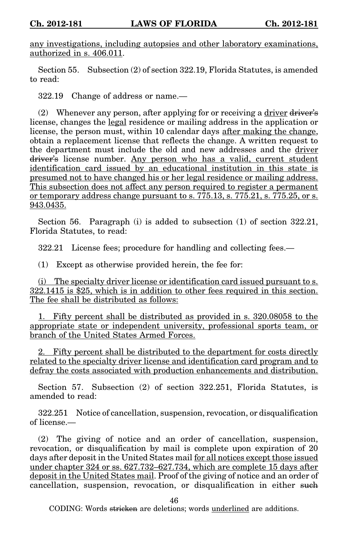any investigations, including autopsies and other laboratory examinations, authorized in s. 406.011.

Section 55. Subsection (2) of section 322.19, Florida Statutes, is amended to read:

322.19 Change of address or name.—

(2) Whenever any person, after applying for or receiving a driver  $\frac{div}{dx}$ license, changes the legal residence or mailing address in the application or license, the person must, within 10 calendar days after making the change, obtain a replacement license that reflects the change. A written request to the department must include the old and new addresses and the driver driver's license number. Any person who has a valid, current student identification card issued by an educational institution in this state is presumed not to have changed his or her legal residence or mailing address. This subsection does not affect any person required to register a permanent or temporary address change pursuant to s.  $775.13$ , s.  $775.21$ , s.  $775.25$ , or s. 943.0435.

Section 56. Paragraph (i) is added to subsection (1) of section 322.21, Florida Statutes, to read:

322.21 License fees; procedure for handling and collecting fees.—

(1) Except as otherwise provided herein, the fee for:

(i) The specialty driver license or identification card issued pursuant to s. 322.1415 is \$25, which is in addition to other fees required in this section. The fee shall be distributed as follows:

1. Fifty percent shall be distributed as provided in s. 320.08058 to the appropriate state or independent university, professional sports team, or branch of the United States Armed Forces.

2. Fifty percent shall be distributed to the department for costs directly related to the specialty driver license and identification card program and to defray the costs associated with production enhancements and distribution.

Section 57. Subsection (2) of section 322.251, Florida Statutes, is amended to read:

322.251 Notice of cancellation, suspension, revocation, or disqualification of license.—

(2) The giving of notice and an order of cancellation, suspension, revocation, or disqualification by mail is complete upon expiration of 20 days after deposit in the United States mail for all notices except those issued under chapter 324 or ss. 627.732–627.734, which are complete 15 days after deposit in the United States mail. Proof of the giving of notice and an order of cancellation, suspension, revocation, or disqualification in either such

46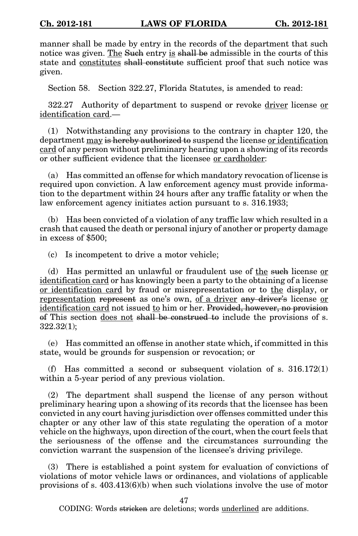manner shall be made by entry in the records of the department that such notice was given. The Such entry is shall be admissible in the courts of this state and constitutes shall constitute sufficient proof that such notice was given.

Section 58. Section 322.27, Florida Statutes, is amended to read:

322.27 Authority of department to suspend or revoke driver license or identification card.—

(1) Notwithstanding any provisions to the contrary in chapter 120, the department may is hereby authorized to suspend the license or identification card of any person without preliminary hearing upon a showing of its records or other sufficient evidence that the licensee or cardholder:

(a) Has committed an offense for which mandatory revocation of license is required upon conviction. A law enforcement agency must provide information to the department within 24 hours after any traffic fatality or when the law enforcement agency initiates action pursuant to s. 316.1933;

(b) Has been convicted of a violation of any traffic law which resulted in a crash that caused the death or personal injury of another or property damage in excess of \$500;

(c) Is incompetent to drive a motor vehicle;

(d) Has permitted an unlawful or fraudulent use of the such license or identification card or has knowingly been a party to the obtaining of a license or identification card by fraud or misrepresentation or to the display, or representation represent as one's own, of a driver any driver's license or identification card not issued to him or her. Provided, however, no provision of This section does not shall be construed to include the provisions of s. 322.32(1);

(e) Has committed an offense in another state which, if committed in this state, would be grounds for suspension or revocation; or

(f) Has committed a second or subsequent violation of s.  $316.172(1)$ within a 5-year period of any previous violation.

(2) The department shall suspend the license of any person without preliminary hearing upon a showing of its records that the licensee has been convicted in any court having jurisdiction over offenses committed under this chapter or any other law of this state regulating the operation of a motor vehicle on the highways, upon direction of the court, when the court feels that the seriousness of the offense and the circumstances surrounding the conviction warrant the suspension of the licensee's driving privilege.

(3) There is established a point system for evaluation of convictions of violations of motor vehicle laws or ordinances, and violations of applicable provisions of s. 403.413(6)(b) when such violations involve the use of motor

47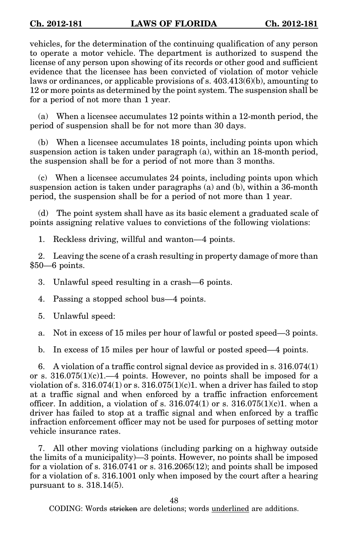vehicles, for the determination of the continuing qualification of any person to operate a motor vehicle. The department is authorized to suspend the license of any person upon showing of its records or other good and sufficient evidence that the licensee has been convicted of violation of motor vehicle laws or ordinances, or applicable provisions of s. 403.413(6)(b), amounting to 12 or more points as determined by the point system. The suspension shall be for a period of not more than 1 year.

(a) When a licensee accumulates 12 points within a 12-month period, the period of suspension shall be for not more than 30 days.

(b) When a licensee accumulates 18 points, including points upon which suspension action is taken under paragraph (a), within an 18-month period, the suspension shall be for a period of not more than 3 months.

(c) When a licensee accumulates 24 points, including points upon which suspension action is taken under paragraphs (a) and (b), within a 36-month period, the suspension shall be for a period of not more than 1 year.

(d) The point system shall have as its basic element a graduated scale of points assigning relative values to convictions of the following violations:

1. Reckless driving, willful and wanton—4 points.

2. Leaving the scene of a crash resulting in property damage of more than \$50—6 points.

3. Unlawful speed resulting in a crash—6 points.

4. Passing a stopped school bus—4 points.

5. Unlawful speed:

a. Not in excess of 15 miles per hour of lawful or posted speed—3 points.

b. In excess of 15 miles per hour of lawful or posted speed—4 points.

6. A violation of a traffic control signal device as provided in s. 316.074(1) or s.  $316.075(1)(c)1$ .—4 points. However, no points shall be imposed for a violation of s.  $316.074(1)$  or s.  $316.075(1)(c)$ . when a driver has failed to stop at a traffic signal and when enforced by a traffic infraction enforcement officer. In addition, a violation of s.  $316.074(1)$  or s.  $316.075(1)(c)1$ . when a driver has failed to stop at a traffic signal and when enforced by a traffic infraction enforcement officer may not be used for purposes of setting motor vehicle insurance rates.

7. All other moving violations (including parking on a highway outside the limits of a municipality)—3 points. However, no points shall be imposed for a violation of s. 316.0741 or s. 316.2065(12); and points shall be imposed for a violation of s. 316.1001 only when imposed by the court after a hearing pursuant to s. 318.14(5).

48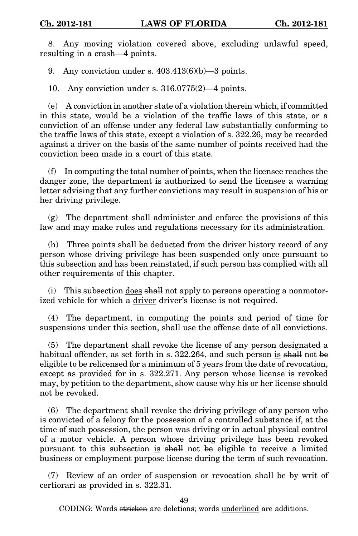8. Any moving violation covered above, excluding unlawful speed, resulting in a crash—4 points.

9. Any conviction under s.  $403.413(6)(b)$ —3 points.

10. Any conviction under s. 316.0775(2)—4 points.

(e) A conviction in another state of a violation therein which, if committed in this state, would be a violation of the traffic laws of this state, or a conviction of an offense under any federal law substantially conforming to the traffic laws of this state, except a violation of s. 322.26, may be recorded against a driver on the basis of the same number of points received had the conviction been made in a court of this state.

(f) In computing the total number of points, when the licensee reaches the danger zone, the department is authorized to send the licensee a warning letter advising that any further convictions may result in suspension of his or her driving privilege.

(g) The department shall administer and enforce the provisions of this law and may make rules and regulations necessary for its administration.

(h) Three points shall be deducted from the driver history record of any person whose driving privilege has been suspended only once pursuant to this subsection and has been reinstated, if such person has complied with all other requirements of this chapter.

(i) This subsection  $\frac{d}{d}$  shall not apply to persons operating a nonmotorized vehicle for which a driver driver's license is not required.

(4) The department, in computing the points and period of time for suspensions under this section, shall use the offense date of all convictions.

(5) The department shall revoke the license of any person designated a habitual offender, as set forth in s.  $322.264$ , and such person is shall not be eligible to be relicensed for a minimum of 5 years from the date of revocation, except as provided for in s. 322.271. Any person whose license is revoked may, by petition to the department, show cause why his or her license should not be revoked.

(6) The department shall revoke the driving privilege of any person who is convicted of a felony for the possession of a controlled substance if, at the time of such possession, the person was driving or in actual physical control of a motor vehicle. A person whose driving privilege has been revoked pursuant to this subsection is shall not be eligible to receive a limited business or employment purpose license during the term of such revocation.

(7) Review of an order of suspension or revocation shall be by writ of certiorari as provided in s. 322.31.

49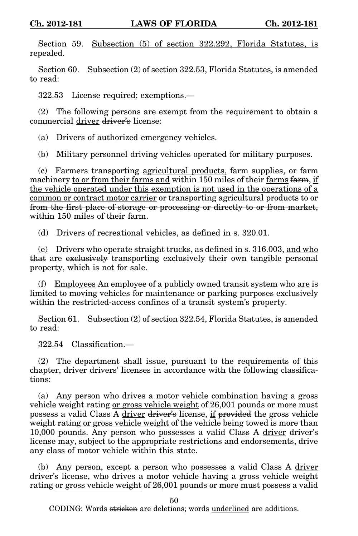Section 59. Subsection (5) of section 322.292, Florida Statutes, is repealed.

Section 60. Subsection (2) of section 322.53, Florida Statutes, is amended to read:

322.53 License required; exemptions.—

(2) The following persons are exempt from the requirement to obtain a commercial driver driver's license:

(a) Drivers of authorized emergency vehicles.

(b) Military personnel driving vehicles operated for military purposes.

(c) Farmers transporting agricultural products, farm supplies, or farm machinery to or from their farms and within 150 miles of their farms farm, if the vehicle operated under this exemption is not used in the operations of a common or contract motor carrier or transporting agricultural products to or from the first place of storage or processing or directly to or from market, within 150 miles of their farm.

(d) Drivers of recreational vehicles, as defined in s. 320.01.

(e) Drivers who operate straight trucks, as defined in s. 316.003, and who that are exclusively transporting exclusively their own tangible personal property, which is not for sale.

(f) Employees An employee of a publicly owned transit system who are is limited to moving vehicles for maintenance or parking purposes exclusively within the restricted-access confines of a transit system's property.

Section 61. Subsection (2) of section 322.54, Florida Statutes, is amended to read:

322.54 Classification.—

(2) The department shall issue, pursuant to the requirements of this chapter, driver drivers' licenses in accordance with the following classifications:

(a) Any person who drives a motor vehicle combination having a gross vehicle weight rating or gross vehicle weight of 26,001 pounds or more must possess a valid Class A driver driver's license, if provided the gross vehicle weight rating <u>or gross vehicle weight</u> of the vehicle being towed is more than 10,000 pounds. Any person who possesses a valid Class A driver driver's license may, subject to the appropriate restrictions and endorsements, drive any class of motor vehicle within this state.

(b) Any person, except a person who possesses a valid Class A driver driver's license, who drives a motor vehicle having a gross vehicle weight rating or gross vehicle weight of 26,001 pounds or more must possess a valid

50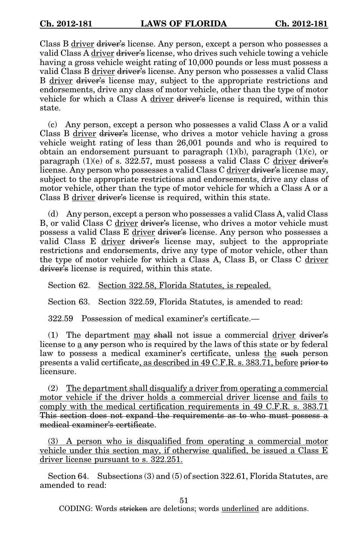Class B driver driver's license. Any person, except a person who possesses a valid Class A driver driver's license, who drives such vehicle towing a vehicle having a gross vehicle weight rating of 10,000 pounds or less must possess a valid Class B driver driver's license. Any person who possesses a valid Class B driver driver's license may, subject to the appropriate restrictions and endorsements, drive any class of motor vehicle, other than the type of motor vehicle for which a Class A driver driver's license is required, within this state.

(c) Any person, except a person who possesses a valid Class A or a valid Class B driver driver's license, who drives a motor vehicle having a gross vehicle weight rating of less than 26,001 pounds and who is required to obtain an endorsement pursuant to paragraph  $(1)(b)$ , paragraph  $(1)(c)$ , or paragraph  $(1)(e)$  of s. 322.57, must possess a valid Class C driver driver's license. Any person who possesses a valid Class C driver driver's license may, subject to the appropriate restrictions and endorsements, drive any class of motor vehicle, other than the type of motor vehicle for which a Class A or a Class B driver driver's license is required, within this state.

(d) Any person, except a person who possesses a valid Class A, valid Class B, or valid Class C driver driver's license, who drives a motor vehicle must possess a valid Class E driver driver's license. Any person who possesses a valid Class E driver driver's license may, subject to the appropriate restrictions and endorsements, drive any type of motor vehicle, other than the type of motor vehicle for which a Class A, Class B, or Class C driver driver's license is required, within this state.

Section 62. Section 322.58, Florida Statutes, is repealed.

Section 63. Section 322.59, Florida Statutes, is amended to read:

322.59 Possession of medical examiner's certificate.—

(1) The department may shall not issue a commercial driver driver's license to a any person who is required by the laws of this state or by federal law to possess a medical examiner's certificate, unless the such person presents a valid certificate, as described in 49 C.F.R. s. 383.71, before prior to licensure.

(2) The department shall disqualify a driver from operating a commercial motor vehicle if the driver holds a commercial driver license and fails to comply with the medical certification requirements in 49 C.F.R. s. 383.71 This section does not expand the requirements as to who must possess a medical examiner's certificate.

(3) A person who is disqualified from operating a commercial motor vehicle under this section may, if otherwise qualified, be issued a Class E driver license pursuant to s. 322.251.

Section 64. Subsections (3) and (5) of section 322.61, Florida Statutes, are amended to read:

51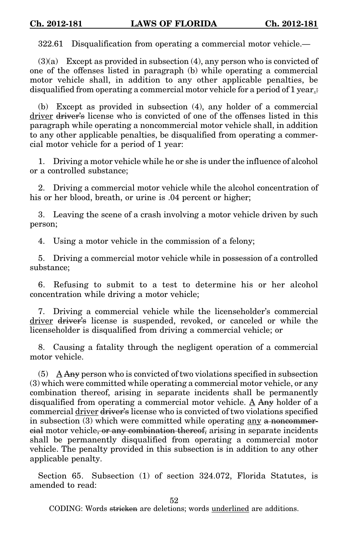322.61 Disqualification from operating a commercial motor vehicle.—

 $(3)(a)$  Except as provided in subsection  $(4)$ , any person who is convicted of one of the offenses listed in paragraph (b) while operating a commercial motor vehicle shall, in addition to any other applicable penalties, be disqualified from operating a commercial motor vehicle for a period of 1 year.

(b) Except as provided in subsection (4), any holder of a commercial driver driver's license who is convicted of one of the offenses listed in this paragraph while operating a noncommercial motor vehicle shall, in addition to any other applicable penalties, be disqualified from operating a commercial motor vehicle for a period of 1 year:

1. Driving a motor vehicle while he or she is under the influence of alcohol or a controlled substance;

2. Driving a commercial motor vehicle while the alcohol concentration of his or her blood, breath, or urine is .04 percent or higher;

3. Leaving the scene of a crash involving a motor vehicle driven by such person;

4. Using a motor vehicle in the commission of a felony;

5. Driving a commercial motor vehicle while in possession of a controlled substance;

6. Refusing to submit to a test to determine his or her alcohol concentration while driving a motor vehicle;

7. Driving a commercial vehicle while the licenseholder's commercial driver driver's license is suspended, revoked, or canceled or while the licenseholder is disqualified from driving a commercial vehicle; or

8. Causing a fatality through the negligent operation of a commercial motor vehicle.

 $(5)$  A Any person who is convicted of two violations specified in subsection (3) which were committed while operating a commercial motor vehicle, or any combination thereof, arising in separate incidents shall be permanently disqualified from operating a commercial motor vehicle. A Any holder of a commercial driver driver's license who is convicted of two violations specified in subsection  $(3)$  which were committed while operating any a noncommercial motor vehicle, or any combination thereof, arising in separate incidents shall be permanently disqualified from operating a commercial motor vehicle. The penalty provided in this subsection is in addition to any other applicable penalty.

Section 65. Subsection (1) of section 324.072, Florida Statutes, is amended to read:

52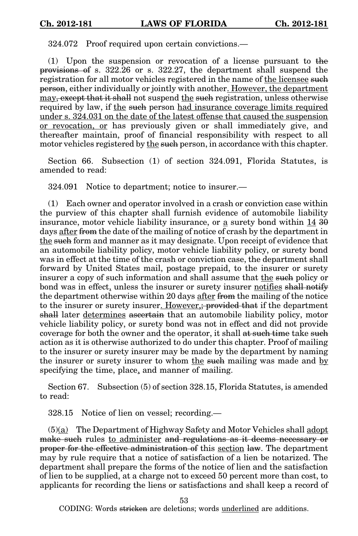324.072 Proof required upon certain convictions.—

(1) Upon the suspension or revocation of a license pursuant to the provisions of s. 322.26 or s. 322.27, the department shall suspend the registration for all motor vehicles registered in the name of the licensee such person, either individually or jointly with another. However, the department may, except that it shall not suspend the such registration, unless otherwise required by law, if the such person had insurance coverage limits required under s. 324.031 on the date of the latest offense that caused the suspension or revocation, or has previously given or shall immediately give, and thereafter maintain, proof of financial responsibility with respect to all motor vehicles registered by the such person, in accordance with this chapter.

Section 66. Subsection (1) of section 324.091, Florida Statutes, is amended to read:

324.091 Notice to department; notice to insurer.—

(1) Each owner and operator involved in a crash or conviction case within the purview of this chapter shall furnish evidence of automobile liability insurance, motor vehicle liability insurance, or a surety bond within 14 30 days after from the date of the mailing of notice of crash by the department in the such form and manner as it may designate. Upon receipt of evidence that an automobile liability policy, motor vehicle liability policy, or surety bond was in effect at the time of the crash or conviction case, the department shall forward by United States mail, postage prepaid, to the insurer or surety insurer a copy of such information and shall assume that the such policy or bond was in effect, unless the insurer or surety insurer notifies shall notify the department otherwise within 20 days after from the mailing of the notice to the insurer or surety insurer. However, provided that if the department shall later determines ascertain that an automobile liability policy, motor vehicle liability policy, or surety bond was not in effect and did not provide coverage for both the owner and the operator, it shall at such time take such action as it is otherwise authorized to do under this chapter. Proof of mailing to the insurer or surety insurer may be made by the department by naming the insurer or surety insurer to whom the such mailing was made and by specifying the time, place, and manner of mailing.

Section 67. Subsection (5) of section 328.15, Florida Statutes, is amended to read:

328.15 Notice of lien on vessel; recording.—

(5)(a) The Department of Highway Safety and Motor Vehicles shall adopt make such rules to administer and regulations as it deems necessary or proper for the effective administration of this section law. The department may by rule require that a notice of satisfaction of a lien be notarized. The department shall prepare the forms of the notice of lien and the satisfaction of lien to be supplied, at a charge not to exceed 50 percent more than cost, to applicants for recording the liens or satisfactions and shall keep a record of

53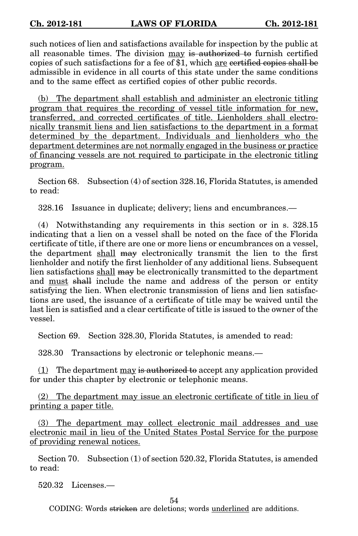such notices of lien and satisfactions available for inspection by the public at all reasonable times. The division may is authorized to furnish certified copies of such satisfactions for a fee of \$1, which are certified copies shall be admissible in evidence in all courts of this state under the same conditions and to the same effect as certified copies of other public records.

(b) The department shall establish and administer an electronic titling program that requires the recording of vessel title information for new, transferred, and corrected certificates of title. Lienholders shall electronically transmit liens and lien satisfactions to the department in a format determined by the department. Individuals and lienholders who the department determines are not normally engaged in the business or practice of financing vessels are not required to participate in the electronic titling program.

Section 68. Subsection (4) of section 328.16, Florida Statutes, is amended to read:

328.16 Issuance in duplicate; delivery; liens and encumbrances.—

(4) Notwithstanding any requirements in this section or in s. 328.15 indicating that a lien on a vessel shall be noted on the face of the Florida certificate of title, if there are one or more liens or encumbrances on a vessel, the department shall may electronically transmit the lien to the first lienholder and notify the first lienholder of any additional liens. Subsequent lien satisfactions shall may be electronically transmitted to the department and must shall include the name and address of the person or entity satisfying the lien. When electronic transmission of liens and lien satisfactions are used, the issuance of a certificate of title may be waived until the last lien is satisfied and a clear certificate of title is issued to the owner of the vessel.

Section 69. Section 328.30, Florida Statutes, is amended to read:

328.30 Transactions by electronic or telephonic means.—

 $(1)$  The department may is authorized to accept any application provided for under this chapter by electronic or telephonic means.

(2) The department may issue an electronic certificate of title in lieu of printing a paper title.

(3) The department may collect electronic mail addresses and use electronic mail in lieu of the United States Postal Service for the purpose of providing renewal notices.

Section 70. Subsection (1) of section 520.32, Florida Statutes, is amended to read:

520.32 Licenses.—

54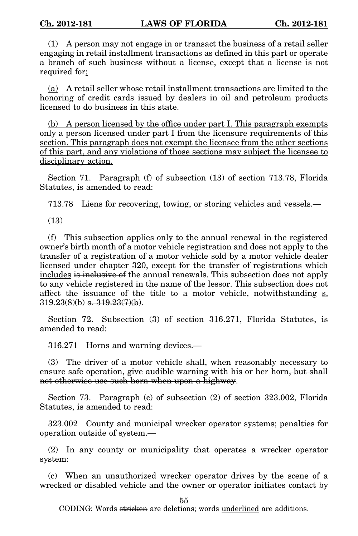(1) A person may not engage in or transact the business of a retail seller engaging in retail installment transactions as defined in this part or operate a branch of such business without a license, except that a license is not required for:

(a) A retail seller whose retail installment transactions are limited to the honoring of credit cards issued by dealers in oil and petroleum products licensed to do business in this state.

(b) A person licensed by the office under part I. This paragraph exempts only a person licensed under part I from the licensure requirements of this section. This paragraph does not exempt the licensee from the other sections of this part, and any violations of those sections may subject the licensee to disciplinary action.

Section 71. Paragraph (f) of subsection (13) of section 713.78, Florida Statutes, is amended to read:

713.78 Liens for recovering, towing, or storing vehicles and vessels.—

(13)

(f) This subsection applies only to the annual renewal in the registered owner's birth month of a motor vehicle registration and does not apply to the transfer of a registration of a motor vehicle sold by a motor vehicle dealer licensed under chapter 320, except for the transfer of registrations which includes is inclusive of the annual renewals. This subsection does not apply to any vehicle registered in the name of the lessor. This subsection does not affect the issuance of the title to a motor vehicle, notwithstanding s.  $319.23(8)(b)$  s.  $319.23(7)(b)$ .

Section 72. Subsection (3) of section 316.271, Florida Statutes, is amended to read:

316.271 Horns and warning devices.—

(3) The driver of a motor vehicle shall, when reasonably necessary to ensure safe operation, give audible warning with his or her horn, but shall not otherwise use such horn when upon a highway.

Section 73. Paragraph (c) of subsection (2) of section 323.002, Florida Statutes, is amended to read:

323.002 County and municipal wrecker operator systems; penalties for operation outside of system.—

(2) In any county or municipality that operates a wrecker operator system:

(c) When an unauthorized wrecker operator drives by the scene of a wrecked or disabled vehicle and the owner or operator initiates contact by

55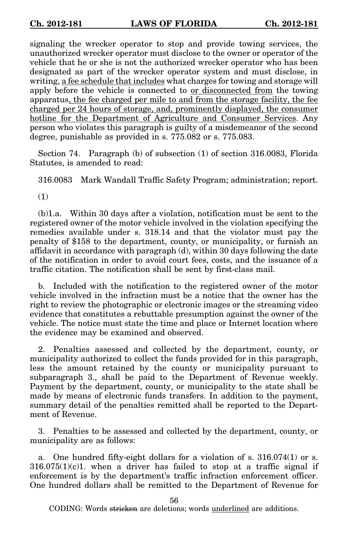signaling the wrecker operator to stop and provide towing services, the unauthorized wrecker operator must disclose to the owner or operator of the vehicle that he or she is not the authorized wrecker operator who has been designated as part of the wrecker operator system and must disclose, in writing, a fee schedule that includes what charges for towing and storage will apply before the vehicle is connected to or disconnected from the towing apparatus, the fee charged per mile to and from the storage facility, the fee charged per 24 hours of storage, and, prominently displayed, the consumer hotline for the Department of Agriculture and Consumer Services. Any person who violates this paragraph is guilty of a misdemeanor of the second degree, punishable as provided in s. 775.082 or s. 775.083.

Section 74. Paragraph (b) of subsection (1) of section 316.0083, Florida Statutes, is amended to read:

316.0083 Mark Wandall Traffic Safety Program; administration; report.

(1)

(b)1.a. Within 30 days after a violation, notification must be sent to the registered owner of the motor vehicle involved in the violation specifying the remedies available under s. 318.14 and that the violator must pay the penalty of \$158 to the department, county, or municipality, or furnish an affidavit in accordance with paragraph (d), within 30 days following the date of the notification in order to avoid court fees, costs, and the issuance of a traffic citation. The notification shall be sent by first-class mail.

b. Included with the notification to the registered owner of the motor vehicle involved in the infraction must be a notice that the owner has the right to review the photographic or electronic images or the streaming video evidence that constitutes a rebuttable presumption against the owner of the vehicle. The notice must state the time and place or Internet location where the evidence may be examined and observed.

2. Penalties assessed and collected by the department, county, or municipality authorized to collect the funds provided for in this paragraph, less the amount retained by the county or municipality pursuant to subparagraph 3., shall be paid to the Department of Revenue weekly. Payment by the department, county, or municipality to the state shall be made by means of electronic funds transfers. In addition to the payment, summary detail of the penalties remitted shall be reported to the Department of Revenue.

3. Penalties to be assessed and collected by the department, county, or municipality are as follows:

a. One hundred fifty-eight dollars for a violation of s. 316.074(1) or s.  $316.075(1)(c)1$ . when a driver has failed to stop at a traffic signal if enforcement is by the department's traffic infraction enforcement officer. One hundred dollars shall be remitted to the Department of Revenue for

56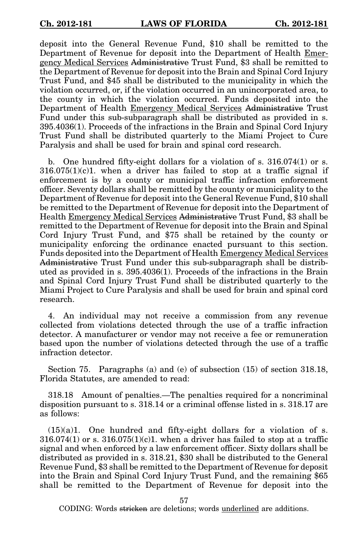deposit into the General Revenue Fund, \$10 shall be remitted to the Department of Revenue for deposit into the Department of Health Emergency Medical Services Administrative Trust Fund, \$3 shall be remitted to the Department of Revenue for deposit into the Brain and Spinal Cord Injury Trust Fund, and \$45 shall be distributed to the municipality in which the violation occurred, or, if the violation occurred in an unincorporated area, to the county in which the violation occurred. Funds deposited into the Department of Health Emergency Medical Services Administrative Trust Fund under this sub-subparagraph shall be distributed as provided in s. 395.4036(1). Proceeds of the infractions in the Brain and Spinal Cord Injury Trust Fund shall be distributed quarterly to the Miami Project to Cure Paralysis and shall be used for brain and spinal cord research.

b. One hundred fifty-eight dollars for a violation of s. 316.074(1) or s.  $316.075(1)(c)1$ . when a driver has failed to stop at a traffic signal if enforcement is by a county or municipal traffic infraction enforcement officer. Seventy dollars shall be remitted by the county or municipality to the Department of Revenue for deposit into the General Revenue Fund, \$10 shall be remitted to the Department of Revenue for deposit into the Department of Health Emergency Medical Services Administrative Trust Fund, \$3 shall be remitted to the Department of Revenue for deposit into the Brain and Spinal Cord Injury Trust Fund, and \$75 shall be retained by the county or municipality enforcing the ordinance enacted pursuant to this section. Funds deposited into the Department of Health Emergency Medical Services Administrative Trust Fund under this sub-subparagraph shall be distributed as provided in s. 395.4036(1). Proceeds of the infractions in the Brain and Spinal Cord Injury Trust Fund shall be distributed quarterly to the Miami Project to Cure Paralysis and shall be used for brain and spinal cord research.

4. An individual may not receive a commission from any revenue collected from violations detected through the use of a traffic infraction detector. A manufacturer or vendor may not receive a fee or remuneration based upon the number of violations detected through the use of a traffic infraction detector.

Section 75. Paragraphs (a) and (e) of subsection (15) of section 318.18, Florida Statutes, are amended to read:

318.18 Amount of penalties.—The penalties required for a noncriminal disposition pursuant to s. 318.14 or a criminal offense listed in s. 318.17 are as follows:

 $(15)(a)1$ . One hundred and fifty-eight dollars for a violation of s.  $316.074(1)$  or s.  $316.075(1)(c)1$ . when a driver has failed to stop at a traffic signal and when enforced by a law enforcement officer. Sixty dollars shall be distributed as provided in s. 318.21, \$30 shall be distributed to the General Revenue Fund, \$3 shall be remitted to the Department of Revenue for deposit into the Brain and Spinal Cord Injury Trust Fund, and the remaining \$65 shall be remitted to the Department of Revenue for deposit into the

57